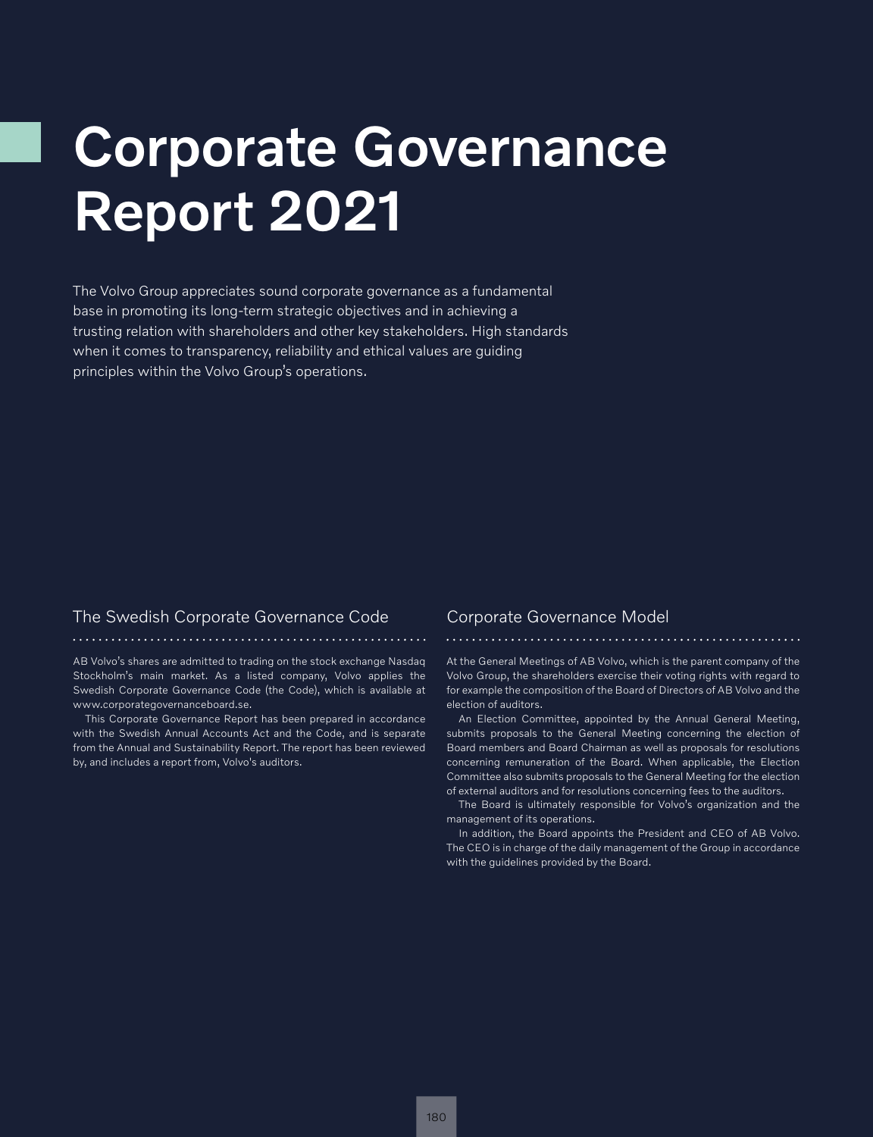# Corporate Governance Report 2021

The Volvo Group appreciates sound corporate governance as a fundamental base in promoting its long-term strategic objectives and in achieving a trusting relation with shareholders and other key stakeholders. High standards when it comes to transparency, reliability and ethical values are guiding principles within the Volvo Group's operations.

### The Swedish Corporate Governance Code

AB Volvo's shares are admitted to trading on the stock exchange Nasdaq Stockholm's main market. As a listed company, Volvo applies the Swedish Corporate Governance Code (the Code), which is available at www.corporategovernanceboard.se.

This Corporate Governance Report has been prepared in accordance with the Swedish Annual Accounts Act and the Code, and is separate from the Annual and Sustainability Report. The report has been reviewed by, and includes a report from, Volvo's auditors.

### Corporate Governance Model

At the General Meetings of AB Volvo, which is the parent company of the Volvo Group, the shareholders exercise their voting rights with regard to for example the composition of the Board of Directors of AB Volvo and the election of auditors.

An Election Committee, appointed by the Annual General Meeting, submits proposals to the General Meeting concerning the election of Board members and Board Chairman as well as proposals for resolutions concerning remuneration of the Board. When applicable, the Election Committee also submits proposals to the General Meeting for the election of external auditors and for resolutions concerning fees to the auditors.

The Board is ultimately responsible for Volvo's organization and the management of its operations.

In addition, the Board appoints the President and CEO of AB Volvo. The CEO is in charge of the daily management of the Group in accordance with the guidelines provided by the Board.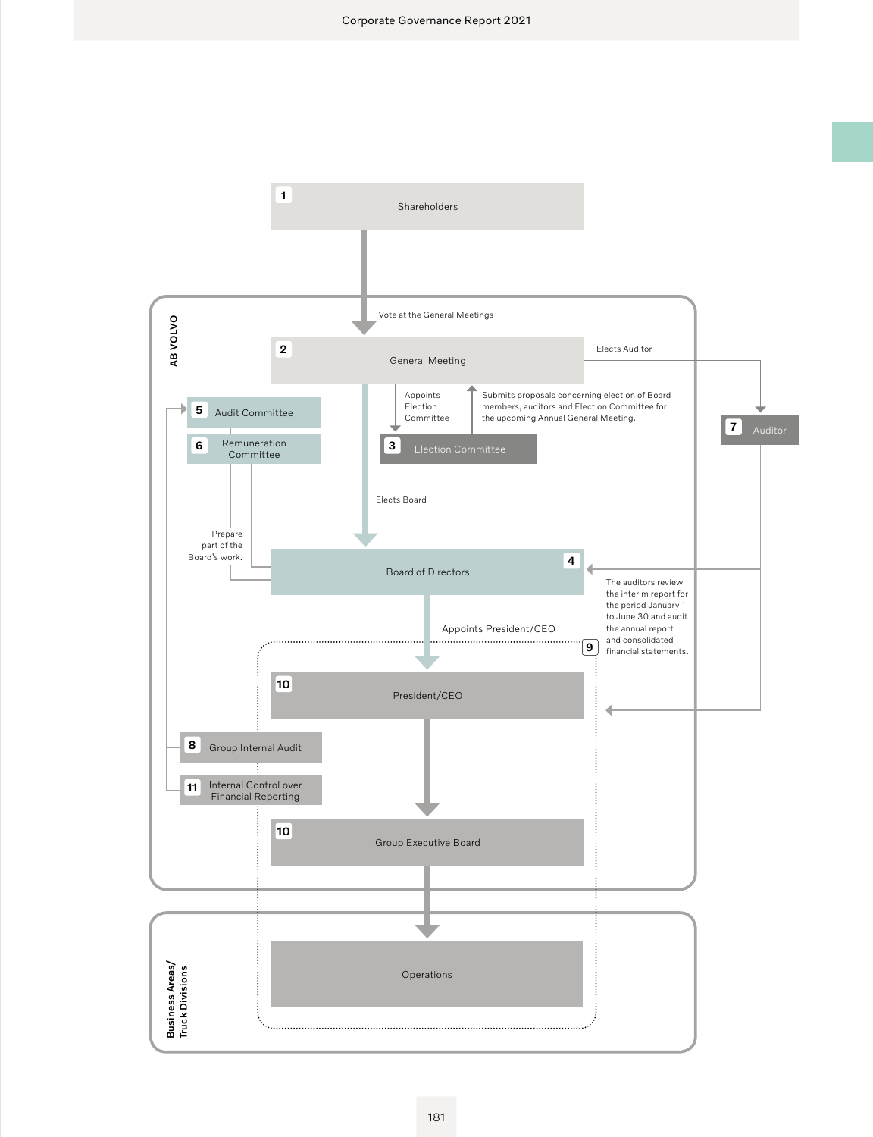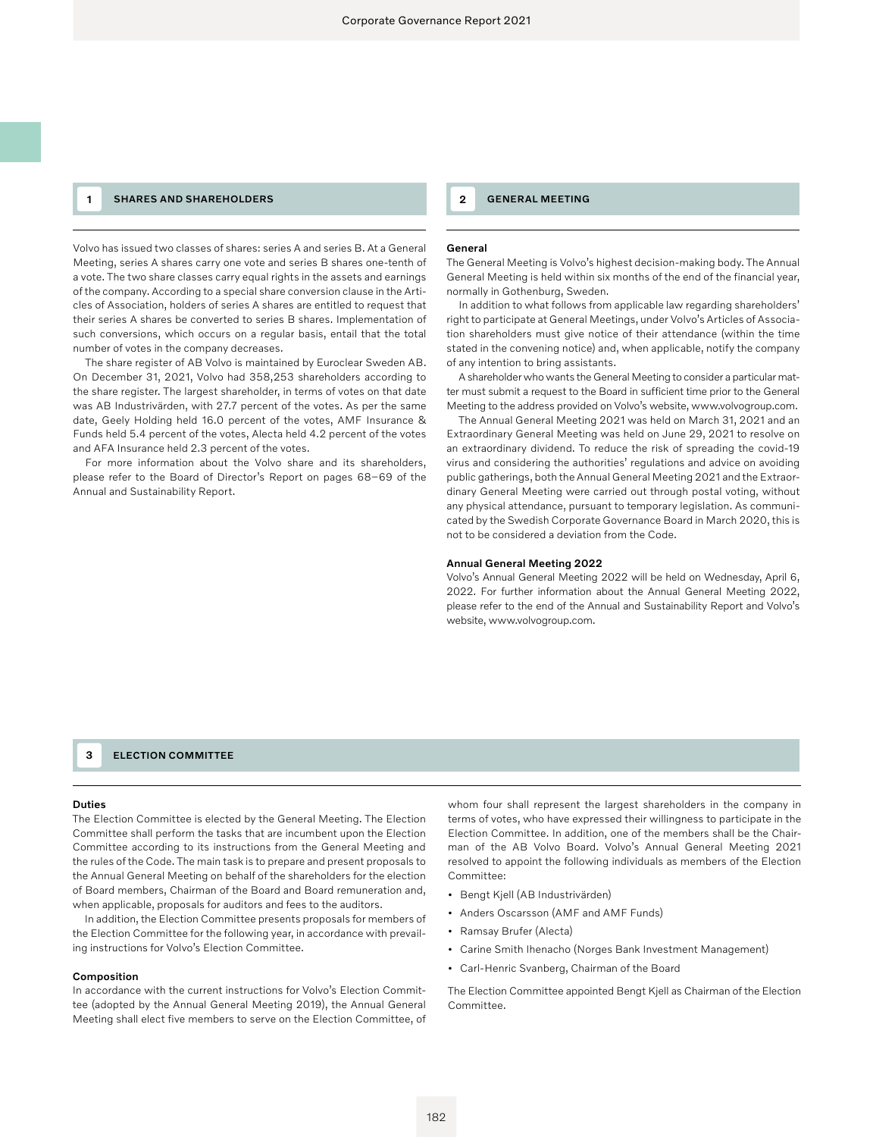### 1 SHARES AND SHAREHOLDERS

Volvo has issued two classes of shares: series A and series B. At a General Meeting, series A shares carry one vote and series B shares one-tenth of a vote. The two share classes carry equal rights in the assets and earnings of the company. According to a special share conversion clause in the Articles of Association, holders of series A shares are entitled to request that their series A shares be converted to series B shares. Implementation of such conversions, which occurs on a regular basis, entail that the total number of votes in the company decreases.

The share register of AB Volvo is maintained by Euroclear Sweden AB. On December 31, 2021, Volvo had 358,253 shareholders according to the share register. The largest shareholder, in terms of votes on that date was AB Industrivärden, with 27.7 percent of the votes. As per the same date, Geely Holding held 16.0 percent of the votes, AMF Insurance & Funds held 5.4 percent of the votes, Alecta held 4.2 percent of the votes and AFA Insurance held 2.3 percent of the votes.

For more information about the Volvo share and its shareholders, please refer to the Board of Director's Report on pages 68–69 of the Annual and Sustainability Report.

### 2 GENERAL MEETING

### General

The General Meeting is Volvo's highest decision-making body. The Annual General Meeting is held within six months of the end of the financial year, normally in Gothenburg, Sweden.

In addition to what follows from applicable law regarding shareholders' right to participate at General Meetings, under Volvo's Articles of Association shareholders must give notice of their attendance (within the time stated in the convening notice) and, when applicable, notify the company of any intention to bring assistants.

A shareholder who wants the General Meeting to consider a particular matter must submit a request to the Board in sufficient time prior to the General Meeting to the address provided on Volvo's website, www.volvogroup.com.

The Annual General Meeting 2021 was held on March 31, 2021 and an Extraordinary General Meeting was held on June 29, 2021 to resolve on an extraordinary dividend. To reduce the risk of spreading the covid-19 virus and considering the authorities' regulations and advice on avoiding public gatherings, both the Annual General Meeting 2021 and the Extraordinary General Meeting were carried out through postal voting, without any physical attendance, pursuant to temporary legislation. As communicated by the Swedish Corporate Governance Board in March 2020, this is not to be considered a deviation from the Code.

### Annual General Meeting 2022

Volvo's Annual General Meeting 2022 will be held on Wednesday, April 6, 2022. For further information about the Annual General Meeting 2022, please refer to the end of the Annual and Sustainability Report and Volvo's website, www.volvogroup.com.

### ELECTION COMMITTEE 3

### Duties

The Election Committee is elected by the General Meeting. The Election Committee shall perform the tasks that are incumbent upon the Election Committee according to its instructions from the General Meeting and the rules of the Code. The main task is to prepare and present proposals to the Annual General Meeting on behalf of the shareholders for the election of Board members, Chairman of the Board and Board remuneration and, when applicable, proposals for auditors and fees to the auditors.

In addition, the Election Committee presents proposals for members of the Election Committee for the following year, in accordance with prevailing instructions for Volvo's Election Committee.

### Composition

In accordance with the current instructions for Volvo's Election Committee (adopted by the Annual General Meeting 2019), the Annual General Meeting shall elect five members to serve on the Election Committee, of

whom four shall represent the largest shareholders in the company in terms of votes, who have expressed their willingness to participate in the Election Committee. In addition, one of the members shall be the Chairman of the AB Volvo Board. Volvo's Annual General Meeting 2021 resolved to appoint the following individuals as members of the Election Committee:

- Bengt Kjell (AB Industrivärden)
- Anders Oscarsson (AMF and AMF Funds)
- Ramsay Brufer (Alecta)
- Carine Smith Ihenacho (Norges Bank Investment Management)
- Carl-Henric Svanberg, Chairman of the Board

The Election Committee appointed Bengt Kjell as Chairman of the Election Committee.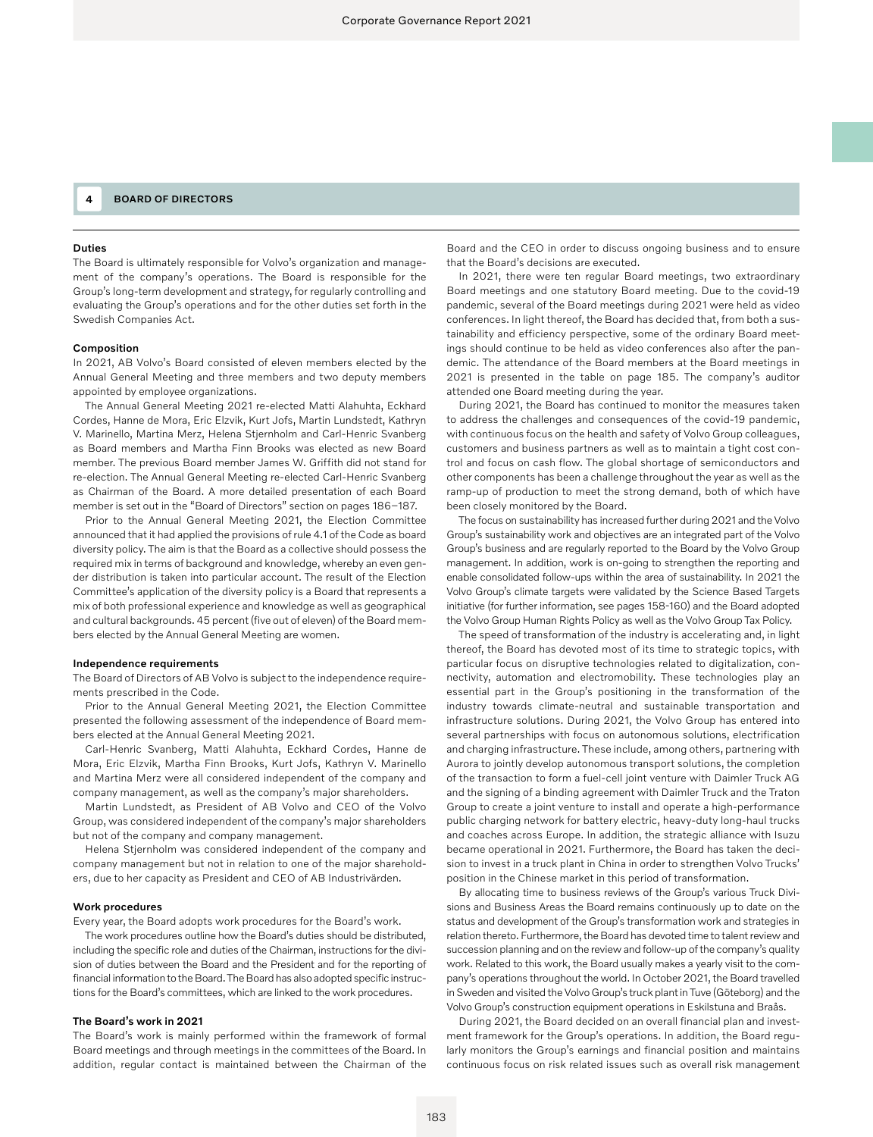### Duties

The Board is ultimately responsible for Volvo's organization and management of the company's operations. The Board is responsible for the Group's long-term development and strategy, for regularly controlling and evaluating the Group's operations and for the other duties set forth in the Swedish Companies Act.

### Composition

In 2021, AB Volvo's Board consisted of eleven members elected by the Annual General Meeting and three members and two deputy members appointed by employee organizations.

The Annual General Meeting 2021 re-elected Matti Alahuhta, Eckhard Cordes, Hanne de Mora, Eric Elzvik, Kurt Jofs, Martin Lundstedt, Kathryn V. Marinello, Martina Merz, Helena Stjernholm and Carl-Henric Svanberg as Board members and Martha Finn Brooks was elected as new Board member. The previous Board member James W. Griffith did not stand for re-election. The Annual General Meeting re-elected Carl-Henric Svanberg as Chairman of the Board. A more detailed presentation of each Board member is set out in the "Board of Directors" section on pages 186–187.

Prior to the Annual General Meeting 2021, the Election Committee announced that it had applied the provisions of rule 4.1 of the Code as board diversity policy. The aim is that the Board as a collective should possess the required mix in terms of background and knowledge, whereby an even gender distribution is taken into particular account. The result of the Election Committee's application of the diversity policy is a Board that represents a mix of both professional experience and knowledge as well as geographical and cultural backgrounds. 45 percent (five out of eleven) of the Board members elected by the Annual General Meeting are women.

### Independence requirements

The Board of Directors of AB Volvo is subject to the independence requirements prescribed in the Code.

Prior to the Annual General Meeting 2021, the Election Committee presented the following assessment of the independence of Board members elected at the Annual General Meeting 2021.

Carl-Henric Svanberg, Matti Alahuhta, Eckhard Cordes, Hanne de Mora, Eric Elzvik, Martha Finn Brooks, Kurt Jofs, Kathryn V. Marinello and Martina Merz were all considered independent of the company and company management, as well as the company's major shareholders.

Martin Lundstedt, as President of AB Volvo and CEO of the Volvo Group, was considered independent of the company's major shareholders but not of the company and company management.

Helena Stjernholm was considered independent of the company and company management but not in relation to one of the major shareholders, due to her capacity as President and CEO of AB Industrivärden.

### Work procedures

Every year, the Board adopts work procedures for the Board's work.

The work procedures outline how the Board's duties should be distributed, including the specific role and duties of the Chairman, instructions for the division of duties between the Board and the President and for the reporting of financial information to the Board. The Board has also adopted specific instructions for the Board's committees, which are linked to the work procedures.

### The Board's work in 2021

The Board's work is mainly performed within the framework of formal Board meetings and through meetings in the committees of the Board. In addition, regular contact is maintained between the Chairman of the

Board and the CEO in order to discuss ongoing business and to ensure that the Board's decisions are executed.

In 2021, there were ten regular Board meetings, two extraordinary Board meetings and one statutory Board meeting. Due to the covid-19 pandemic, several of the Board meetings during 2021 were held as video conferences. In light thereof, the Board has decided that, from both a sustainability and efficiency perspective, some of the ordinary Board meetings should continue to be held as video conferences also after the pandemic. The attendance of the Board members at the Board meetings in 2021 is presented in the table on page 185. The company's auditor attended one Board meeting during the year.

During 2021, the Board has continued to monitor the measures taken to address the challenges and consequences of the covid-19 pandemic, with continuous focus on the health and safety of Volvo Group colleagues, customers and business partners as well as to maintain a tight cost control and focus on cash flow. The global shortage of semiconductors and other components has been a challenge throughout the year as well as the ramp-up of production to meet the strong demand, both of which have been closely monitored by the Board.

The focus on sustainability has increased further during 2021 and the Volvo Group's sustainability work and objectives are an integrated part of the Volvo Group's business and are regularly reported to the Board by the Volvo Group management. In addition, work is on-going to strengthen the reporting and enable consolidated follow-ups within the area of sustainability. In 2021 the Volvo Group's climate targets were validated by the Science Based Targets initiative (for further information, see pages 158-160) and the Board adopted the Volvo Group Human Rights Policy as well as the Volvo Group Tax Policy.

The speed of transformation of the industry is accelerating and, in light thereof, the Board has devoted most of its time to strategic topics, with particular focus on disruptive technologies related to digitalization, connectivity, automation and electromobility. These technologies play an essential part in the Group's positioning in the transformation of the industry towards climate-neutral and sustainable transportation and infrastructure solutions. During 2021, the Volvo Group has entered into several partnerships with focus on autonomous solutions, electrification and charging infrastructure. These include, among others, partnering with Aurora to jointly develop autonomous transport solutions, the completion of the transaction to form a fuel-cell joint venture with Daimler Truck AG and the signing of a binding agreement with Daimler Truck and the Traton Group to create a joint venture to install and operate a high-performance public charging network for battery electric, heavy-duty long-haul trucks and coaches across Europe. In addition, the strategic alliance with Isuzu became operational in 2021. Furthermore, the Board has taken the decision to invest in a truck plant in China in order to strengthen Volvo Trucks' position in the Chinese market in this period of transformation.

By allocating time to business reviews of the Group's various Truck Divisions and Business Areas the Board remains continuously up to date on the status and development of the Group's transformation work and strategies in relation thereto. Furthermore, the Board has devoted time to talent review and succession planning and on the review and follow-up of the company's quality work. Related to this work, the Board usually makes a yearly visit to the company's operations throughout the world. In October 2021, the Board travelled in Sweden and visited the Volvo Group's truck plant in Tuve (Göteborg) and the Volvo Group's construction equipment operations in Eskilstuna and Braås.

During 2021, the Board decided on an overall financial plan and investment framework for the Group's operations. In addition, the Board regularly monitors the Group's earnings and financial position and maintains continuous focus on risk related issues such as overall risk management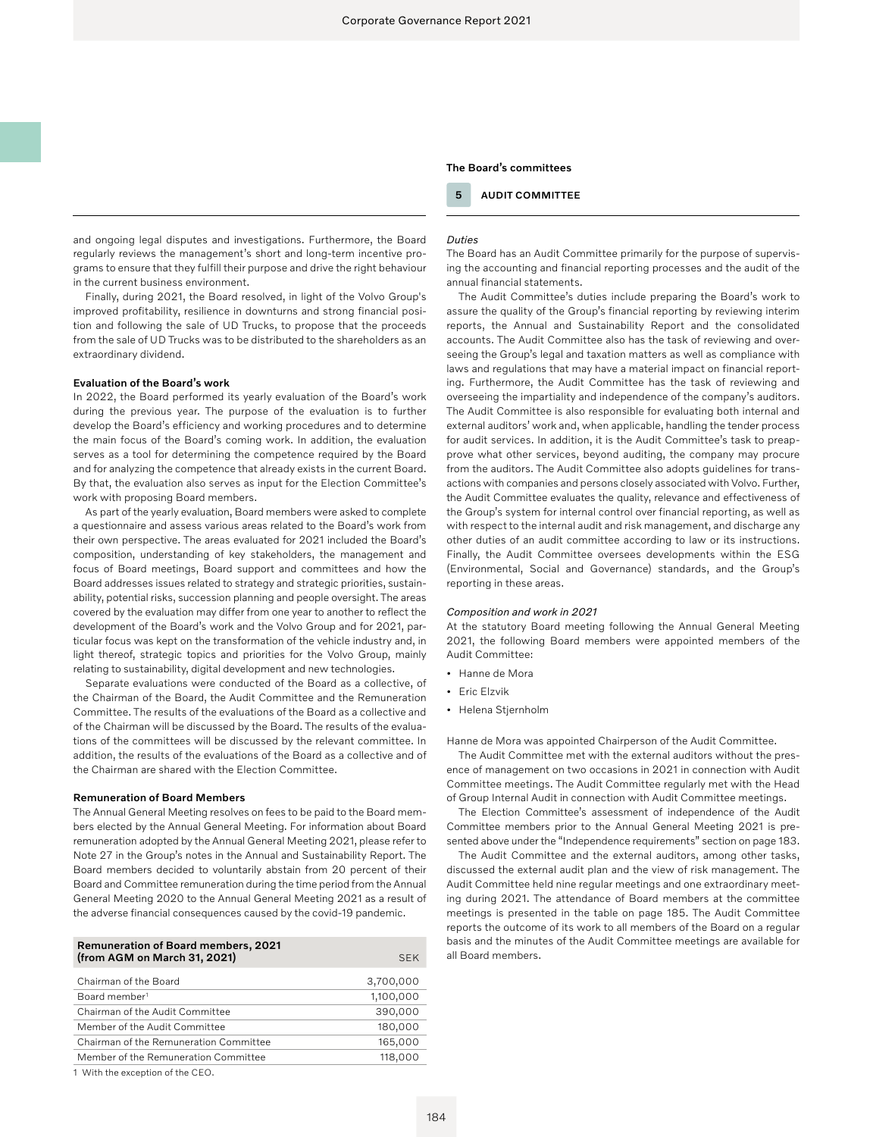and ongoing legal disputes and investigations. Furthermore, the Board regularly reviews the management's short and long-term incentive programs to ensure that they fulfill their purpose and drive the right behaviour in the current business environment.

Finally, during 2021, the Board resolved, in light of the Volvo Group's improved profitability, resilience in downturns and strong financial position and following the sale of UD Trucks, to propose that the proceeds from the sale of UD Trucks was to be distributed to the shareholders as an extraordinary dividend.

### Evaluation of the Board's work

In 2022, the Board performed its yearly evaluation of the Board's work during the previous year. The purpose of the evaluation is to further develop the Board's efficiency and working procedures and to determine the main focus of the Board's coming work. In addition, the evaluation serves as a tool for determining the competence required by the Board and for analyzing the competence that already exists in the current Board. By that, the evaluation also serves as input for the Election Committee's work with proposing Board members.

As part of the yearly evaluation, Board members were asked to complete a questionnaire and assess various areas related to the Board's work from their own perspective. The areas evaluated for 2021 included the Board's composition, understanding of key stakeholders, the management and focus of Board meetings, Board support and committees and how the Board addresses issues related to strategy and strategic priorities, sustainability, potential risks, succession planning and people oversight. The areas covered by the evaluation may differ from one year to another to reflect the development of the Board's work and the Volvo Group and for 2021, particular focus was kept on the transformation of the vehicle industry and, in light thereof, strategic topics and priorities for the Volvo Group, mainly relating to sustainability, digital development and new technologies.

Separate evaluations were conducted of the Board as a collective, of the Chairman of the Board, the Audit Committee and the Remuneration Committee. The results of the evaluations of the Board as a collective and of the Chairman will be discussed by the Board. The results of the evaluations of the committees will be discussed by the relevant committee. In addition, the results of the evaluations of the Board as a collective and of the Chairman are shared with the Election Committee.

### Remuneration of Board Members

The Annual General Meeting resolves on fees to be paid to the Board members elected by the Annual General Meeting. For information about Board remuneration adopted by the Annual General Meeting 2021, please refer to Note 27 in the Group's notes in the Annual and Sustainability Report. The Board members decided to voluntarily abstain from 20 percent of their Board and Committee remuneration during the time period from the Annual General Meeting 2020 to the Annual General Meeting 2021 as a result of the adverse financial consequences caused by the covid-19 pandemic.

| <b>Remuneration of Board members, 2021</b> |            |
|--------------------------------------------|------------|
| (from AGM on March 31, 2021)               | <b>SEK</b> |
| Chairman of the Board                      | 3,700,000  |
| Board member <sup>1</sup>                  | 1,100,000  |
| Chairman of the Audit Committee            | 390,000    |
| Member of the Audit Committee              | 180,000    |
| Chairman of the Remuneration Committee     | 165,000    |
| Member of the Remuneration Committee       | 118,000    |
| $1$ With the execution of the CEO          |            |

The Board's committees

5 AUDIT COMMITTEE

### *Duties*

The Board has an Audit Committee primarily for the purpose of supervising the accounting and financial reporting processes and the audit of the annual financial statements.

The Audit Committee's duties include preparing the Board's work to assure the quality of the Group's financial reporting by reviewing interim reports, the Annual and Sustainability Report and the consolidated accounts. The Audit Committee also has the task of reviewing and overseeing the Group's legal and taxation matters as well as compliance with laws and regulations that may have a material impact on financial reporting. Furthermore, the Audit Committee has the task of reviewing and overseeing the impartiality and independence of the company's auditors. The Audit Committee is also responsible for evaluating both internal and external auditors' work and, when applicable, handling the tender process for audit services. In addition, it is the Audit Committee's task to preapprove what other services, beyond auditing, the company may procure from the auditors. The Audit Committee also adopts guidelines for transactions with companies and persons closely associated with Volvo. Further, the Audit Committee evaluates the quality, relevance and effectiveness of the Group's system for internal control over financial reporting, as well as with respect to the internal audit and risk management, and discharge any other duties of an audit committee according to law or its instructions. Finally, the Audit Committee oversees developments within the ESG (Environmental, Social and Governance) standards, and the Group's reporting in these areas.

### *Composition and work in 2021*

At the statutory Board meeting following the Annual General Meeting 2021, the following Board members were appointed members of the Audit Committee:

- Hanne de Mora
- Eric Elzvik
- Helena Stjernholm

Hanne de Mora was appointed Chairperson of the Audit Committee.

The Audit Committee met with the external auditors without the presence of management on two occasions in 2021 in connection with Audit Committee meetings. The Audit Committee regularly met with the Head of Group Internal Audit in connection with Audit Committee meetings.

The Election Committee's assessment of independence of the Audit Committee members prior to the Annual General Meeting 2021 is presented above under the "Independence requirements" section on page 183.

The Audit Committee and the external auditors, among other tasks, discussed the external audit plan and the view of risk management. The Audit Committee held nine regular meetings and one extraordinary meeting during 2021. The attendance of Board members at the committee meetings is presented in the table on page 185. The Audit Committee reports the outcome of its work to all members of the Board on a regular basis and the minutes of the Audit Committee meetings are available for all Board members.

With the exception of the CEO.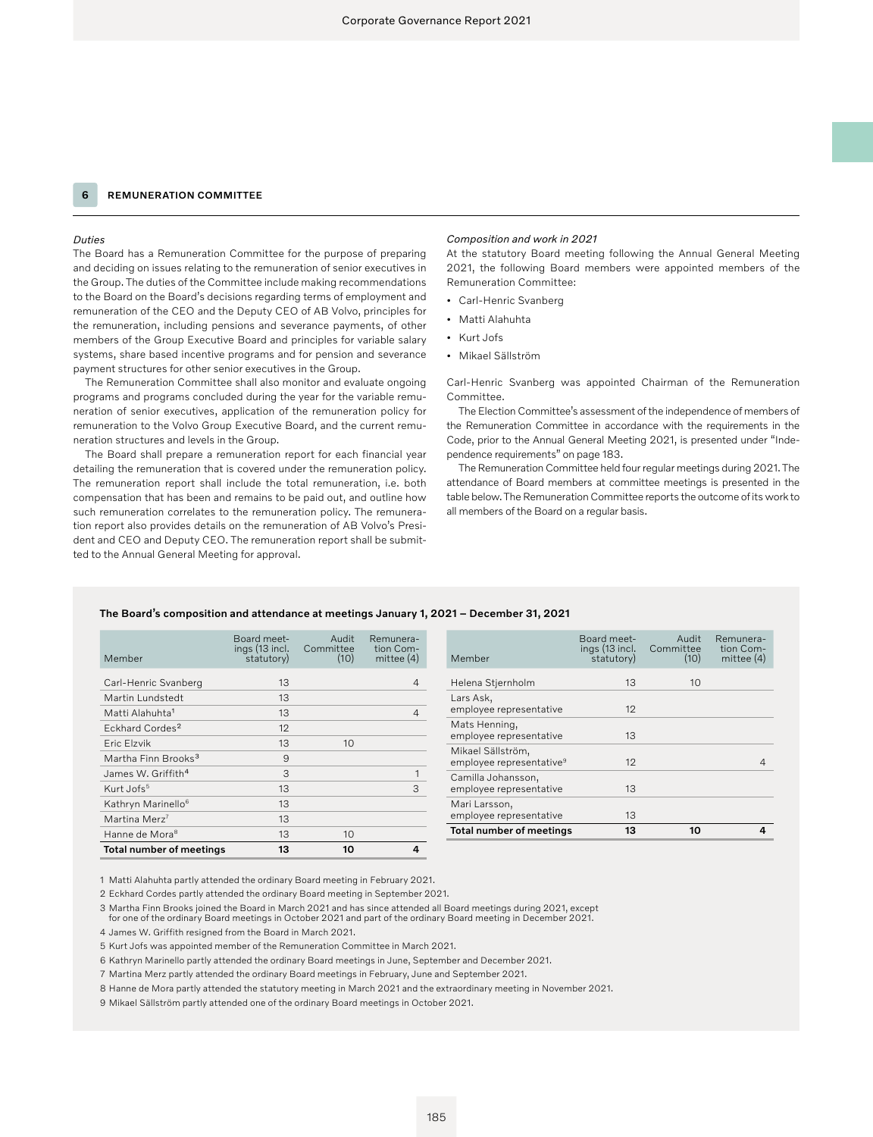### 6 REMUNERATION COMMITTEE

### *Duties*

The Board has a Remuneration Committee for the purpose of preparing and deciding on issues relating to the remuneration of senior executives in the Group. The duties of the Committee include making recommendations to the Board on the Board's decisions regarding terms of employment and remuneration of the CEO and the Deputy CEO of AB Volvo, principles for the remuneration, including pensions and severance payments, of other members of the Group Executive Board and principles for variable salary systems, share based incentive programs and for pension and severance payment structures for other senior executives in the Group.

The Remuneration Committee shall also monitor and evaluate ongoing programs and programs concluded during the year for the variable remuneration of senior executives, application of the remuneration policy for remuneration to the Volvo Group Executive Board, and the current remuneration structures and levels in the Group.

The Board shall prepare a remuneration report for each financial year detailing the remuneration that is covered under the remuneration policy. The remuneration report shall include the total remuneration, i.e. both compensation that has been and remains to be paid out, and outline how such remuneration correlates to the remuneration policy. The remuneration report also provides details on the remuneration of AB Volvo's President and CEO and Deputy CEO. The remuneration report shall be submitted to the Annual General Meeting for approval.

### *Composition and work in 2021*

At the statutory Board meeting following the Annual General Meeting 2021, the following Board members were appointed members of the Remuneration Committee:

- Carl-Henric Svanberg
- Matti Alahuhta
- Kurt Jofs
- Mikael Sällström

Carl-Henric Svanberg was appointed Chairman of the Remuneration Committee.

The Election Committee's assessment of the independence of members of the Remuneration Committee in accordance with the requirements in the Code, prior to the Annual General Meeting 2021, is presented under "Independence requirements" on page 183.

The Remuneration Committee held four regular meetings during 2021. The attendance of Board members at committee meetings is presented in the table below. The Remuneration Committee reports the outcome of its work to all members of the Board on a regular basis.

### The Board's composition and attendance at meetings January 1, 2021 – December 31, 2021

| Member                          | Board meet-<br>ings (13 incl.<br>statutory) | Audit<br>Committee<br>(10) | Remunera-<br>tion Com-<br>mittee $(4)$ | Member                                                    | Board meet-<br>ings (13 incl.<br>statutory) | Audit<br>Committee<br>(10) | Remunera-<br>tion Com-<br>mittee $(4)$ |
|---------------------------------|---------------------------------------------|----------------------------|----------------------------------------|-----------------------------------------------------------|---------------------------------------------|----------------------------|----------------------------------------|
| Carl-Henric Svanberg            | 13                                          |                            | $\overline{4}$                         | Helena Stjernholm                                         | 13                                          | 10                         |                                        |
| Martin Lundstedt                | 13                                          |                            |                                        | Lars Ask,                                                 |                                             |                            |                                        |
| Matti Alahuhta <sup>1</sup>     | 13                                          |                            | $\overline{4}$                         | employee representative                                   | 12                                          |                            |                                        |
| Eckhard Cordes <sup>2</sup>     | 12                                          |                            |                                        | Mats Henning,                                             |                                             |                            |                                        |
| <b>Eric Elzvik</b>              | 13                                          | 10                         |                                        | employee representative                                   | 13                                          |                            |                                        |
| Martha Finn Brooks <sup>3</sup> | 9                                           |                            |                                        | Mikael Sällström,<br>employee representative <sup>9</sup> | 12                                          |                            |                                        |
| James W. Griffith <sup>4</sup>  | 3                                           |                            |                                        | Camilla Johansson,                                        |                                             |                            |                                        |
| Kurt Jofs <sup>5</sup>          | 13                                          |                            | 3                                      | employee representative                                   | 13                                          |                            |                                        |
| Kathryn Marinello <sup>6</sup>  | 13                                          |                            |                                        | Mari Larsson,                                             |                                             |                            |                                        |
| Martina Merz <sup>7</sup>       | 13                                          |                            |                                        | employee representative                                   | 13                                          |                            |                                        |
| Hanne de Mora <sup>8</sup>      | 13                                          | 10                         |                                        | <b>Total number of meetings</b>                           | 13                                          | 10                         |                                        |
| <b>Total number of meetings</b> | 13                                          | 10                         |                                        |                                                           |                                             |                            |                                        |

1 Matti Alahuhta partly attended the ordinary Board meeting in February 2021.

2 Eckhard Cordes partly attended the ordinary Board meeting in September 2021.

3 Martha Finn Brooks joined the Board in March 2021 and has since attended all Board meetings during 2021, except

for one of the ordinary Board meetings in October 2021 and part of the ordinary Board meeting in December 2021.

4 James W. Griffith resigned from the Board in March 2021.

5 Kurt Jofs was appointed member of the Remuneration Committee in March 2021.

6 Kathryn Marinello partly attended the ordinary Board meetings in June, September and December 2021.

7 Martina Merz partly attended the ordinary Board meetings in February, June and September 2021.

8 Hanne de Mora partly attended the statutory meeting in March 2021 and the extraordinary meeting in November 2021.

9 Mikael Sällström partly attended one of the ordinary Board meetings in October 2021.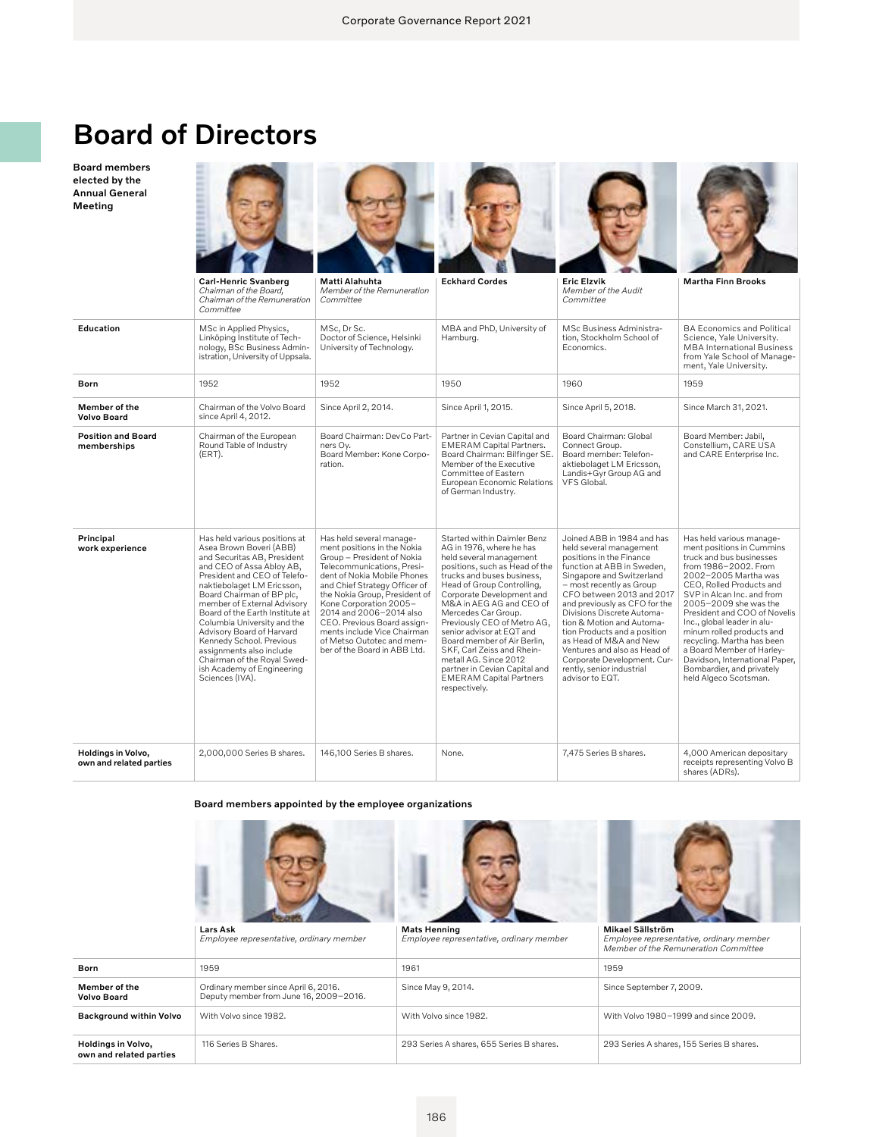# Board of Directors

Board members elected by the Annual General Meeting









|                                               | <b>Carl-Henric Svanberg</b><br>Chairman of the Board.<br>Chairman of the Remuneration<br>Committee                                                                                                                                                                                                                                                                                                                                                                                    | Matti Alahuhta<br>Member of the Remuneration<br>Committee                                                                                                                                                                                                                                                                                                                                            | <b>Eckhard Cordes</b>                                                                                                                                                                                                                                                                                                                                                                                                                                                                                                              | <b>Eric Elzvik</b><br>Member of the Audit<br>Committee                                                                                                                                                                                                                                                                                                                                                                                                                   | <b>Martha Finn Brooks</b>                                                                                                                                                                                                                                                                                                                                                                                                             |
|-----------------------------------------------|---------------------------------------------------------------------------------------------------------------------------------------------------------------------------------------------------------------------------------------------------------------------------------------------------------------------------------------------------------------------------------------------------------------------------------------------------------------------------------------|------------------------------------------------------------------------------------------------------------------------------------------------------------------------------------------------------------------------------------------------------------------------------------------------------------------------------------------------------------------------------------------------------|------------------------------------------------------------------------------------------------------------------------------------------------------------------------------------------------------------------------------------------------------------------------------------------------------------------------------------------------------------------------------------------------------------------------------------------------------------------------------------------------------------------------------------|--------------------------------------------------------------------------------------------------------------------------------------------------------------------------------------------------------------------------------------------------------------------------------------------------------------------------------------------------------------------------------------------------------------------------------------------------------------------------|---------------------------------------------------------------------------------------------------------------------------------------------------------------------------------------------------------------------------------------------------------------------------------------------------------------------------------------------------------------------------------------------------------------------------------------|
| Education                                     | MSc in Applied Physics.<br>Linköping Institute of Tech-<br>nology, BSc Business Admin-<br>istration. University of Uppsala.                                                                                                                                                                                                                                                                                                                                                           | MSc. Dr Sc.<br>Doctor of Science, Helsinki<br>University of Technology.                                                                                                                                                                                                                                                                                                                              | MBA and PhD, University of<br>Hamburg.                                                                                                                                                                                                                                                                                                                                                                                                                                                                                             | MSc Business Administra-<br>tion, Stockholm School of<br>Economics.                                                                                                                                                                                                                                                                                                                                                                                                      | BA Economics and Political<br>Science, Yale University.<br><b>MBA</b> International Business<br>from Yale School of Manage-<br>ment, Yale University.                                                                                                                                                                                                                                                                                 |
| Born                                          | 1952                                                                                                                                                                                                                                                                                                                                                                                                                                                                                  | 1952                                                                                                                                                                                                                                                                                                                                                                                                 | 1950                                                                                                                                                                                                                                                                                                                                                                                                                                                                                                                               | 1960                                                                                                                                                                                                                                                                                                                                                                                                                                                                     | 1959                                                                                                                                                                                                                                                                                                                                                                                                                                  |
| Member of the<br>Volvo Board                  | Chairman of the Volvo Board<br>since April 4, 2012.                                                                                                                                                                                                                                                                                                                                                                                                                                   | Since April 2, 2014.                                                                                                                                                                                                                                                                                                                                                                                 | Since April 1, 2015.                                                                                                                                                                                                                                                                                                                                                                                                                                                                                                               | Since April 5, 2018.                                                                                                                                                                                                                                                                                                                                                                                                                                                     | Since March 31, 2021.                                                                                                                                                                                                                                                                                                                                                                                                                 |
| <b>Position and Board</b><br>memberships      | Chairman of the European<br>Round Table of Industry<br>(ERT).                                                                                                                                                                                                                                                                                                                                                                                                                         | Board Chairman: DevCo Part-<br>ners Oy.<br>Board Member: Kone Corpo-<br>ration.                                                                                                                                                                                                                                                                                                                      | Partner in Cevian Capital and<br><b>EMERAM Capital Partners.</b><br>Board Chairman: Bilfinger SE.<br>Member of the Executive<br>Committee of Eastern<br>European Economic Relations   VFS Global.<br>of German Industry.                                                                                                                                                                                                                                                                                                           | Board Chairman: Global<br>Connect Group.<br>Board member: Telefon-<br>aktiebolaget LM Ericsson,<br>Landis+Gyr Group AG and                                                                                                                                                                                                                                                                                                                                               | Board Member: Jabil.<br>Constellium, CARE USA<br>and CARE Enterprise Inc.                                                                                                                                                                                                                                                                                                                                                             |
| Principal<br>work experience                  | Has held various positions at<br>Asea Brown Boveri (ABB)<br>and Securitas AB, President<br>and CEO of Assa Ablov AB.<br>President and CEO of Telefo-<br>naktiebolaget LM Ericsson,<br>Board Chairman of BP plc.<br>member of External Advisory<br>Board of the Earth Institute at<br>Columbia University and the<br>Advisory Board of Harvard<br>Kennedy School. Previous<br>assignments also include<br>Chairman of the Roval Swed-<br>ish Academy of Engineering<br>Sciences (IVA). | Has held several manage-<br>ment positions in the Nokia<br>Group - President of Nokia<br>Telecommunications, Presi-<br>dent of Nokia Mobile Phones<br>and Chief Strategy Officer of<br>the Nokia Group, President of<br>Kone Corporation 2005-<br>2014 and 2006-2014 also<br>CEO. Previous Board assign-<br>ments include Vice Chairman<br>of Metso Outotec and mem-<br>ber of the Board in ABB Ltd. | Started within Daimler Benz<br>AG in 1976, where he has<br>held several management<br>positions, such as Head of the<br>trucks and buses business.<br>Head of Group Controlling,<br>Corporate Development and<br>M&A in AEG AG and CEO of<br>Mercedes Car Group.<br>Previously CEO of Metro AG,   tion & Motion and Automa-<br>senior advisor at EQT and<br>Board member of Air Berlin,<br>SKF, Carl Zeiss and Rhein-<br>metall AG. Since 2012<br>partner in Cevian Capital and<br><b>EMERAM Capital Partners</b><br>respectively. | Joined ABB in 1984 and has<br>held several management<br>positions in the Finance<br>function at ABB in Sweden.<br>Singapore and Switzerland<br>- most recently as Group<br>CFO between 2013 and 2017 SVP in Alcan Inc. and from<br>and previously as CFO for the<br>Divisions Discrete Automa-<br>tion Products and a position<br>as Head of M&A and New<br>Ventures and also as Head of<br>Corporate Development. Cur-<br>rently, senior industrial<br>advisor to EQT. | Has held various manage-<br>ment positions in Cummins<br>truck and bus businesses<br>from 1986-2002, From<br>2002-2005 Martha was<br>CEO, Rolled Products and<br>2005-2009 she was the<br>President and COO of Novelis<br>Inc., global leader in alu-<br>minum rolled products and<br>recycling. Martha has been<br>a Board Member of Harley-<br>Davidson, International Paper,<br>Bombardier, and privately<br>held Algeco Scotsman. |
| Holdings in Volvo,<br>own and related parties | 2.000.000 Series B shares.                                                                                                                                                                                                                                                                                                                                                                                                                                                            | 146,100 Series B shares.                                                                                                                                                                                                                                                                                                                                                                             | None.                                                                                                                                                                                                                                                                                                                                                                                                                                                                                                                              | 7,475 Series B shares.                                                                                                                                                                                                                                                                                                                                                                                                                                                   | 4,000 American depositary<br>receipts representing Volvo B<br>shares (ADRs).                                                                                                                                                                                                                                                                                                                                                          |

### Board members appointed by the employee organizations

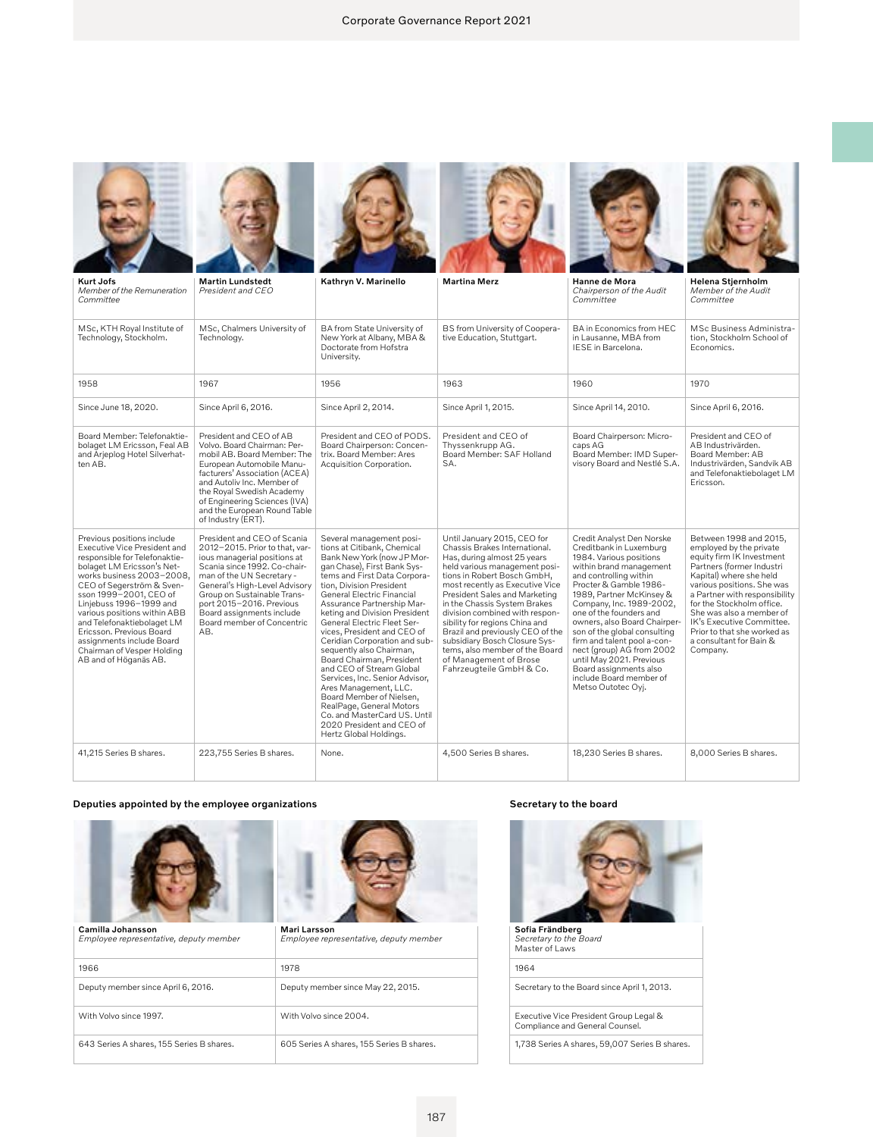

### Deputies appointed by the employee organizations Secretary to the board



| .<br>.<br>.<br>.                                                                       | Mast        |
|----------------------------------------------------------------------------------------|-------------|
| 1966<br>1978                                                                           | 1964        |
| Deputy member since April 6, 2016.<br>Deputy member since May 22, 2015.                | Secr        |
| With Volvo since 1997.<br>With Volvo since 2004.                                       | Exec<br>Com |
| 643 Series A shares, 155 Series B shares.<br>605 Series A shares, 155 Series B shares. | 1,738       |

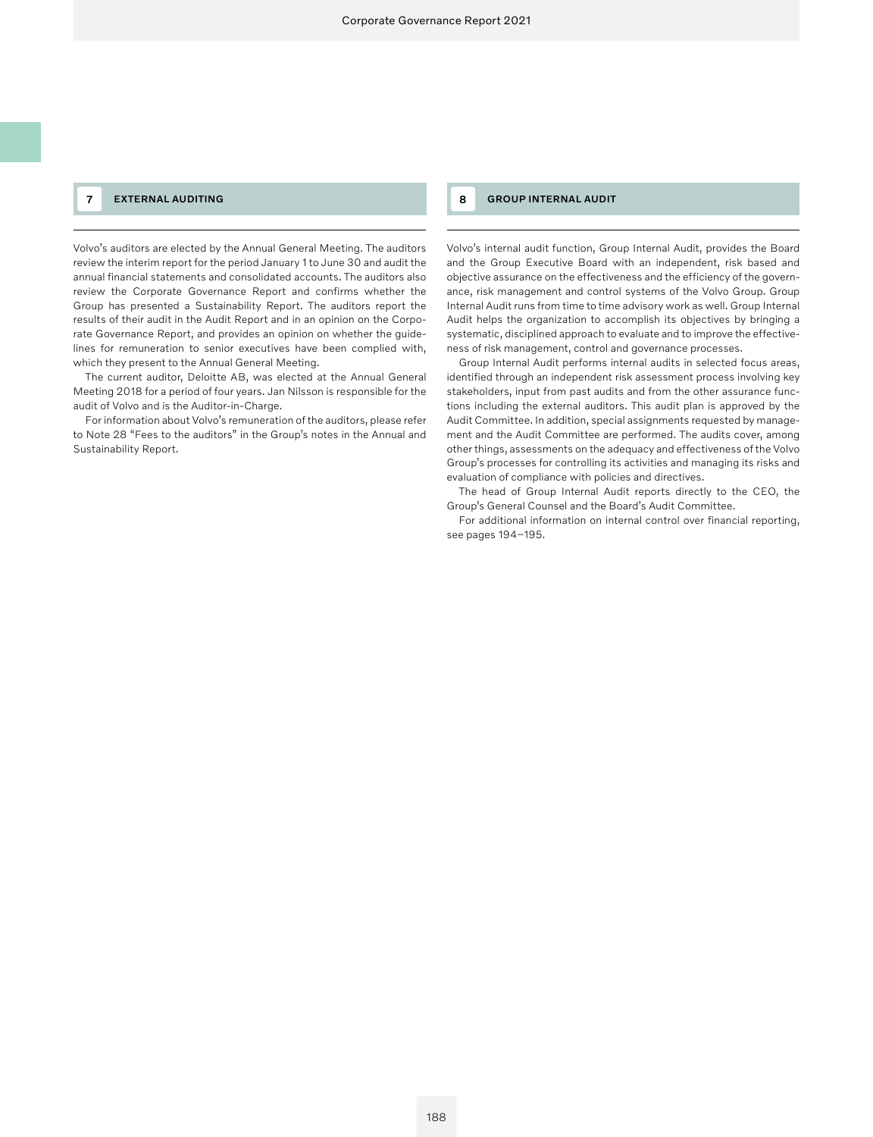### 7 EXTERNAL AUDITING

Volvo's auditors are elected by the Annual General Meeting. The auditors review the interim report for the period January 1 to June 30 and audit the annual financial statements and consolidated accounts. The auditors also review the Corporate Governance Report and confirms whether the Group has presented a Sustainability Report. The auditors report the results of their audit in the Audit Report and in an opinion on the Corporate Governance Report, and provides an opinion on whether the guidelines for remuneration to senior executives have been complied with, which they present to the Annual General Meeting.

The current auditor, Deloitte AB, was elected at the Annual General Meeting 2018 for a period of four years. Jan Nilsson is responsible for the audit of Volvo and is the Auditor-in-Charge.

For information about Volvo's remuneration of the auditors, please refer to Note 28 "Fees to the auditors" in the Group's notes in the Annual and Sustainability Report.

### 8 GROUP INTERNAL AUDIT

Volvo's internal audit function, Group Internal Audit, provides the Board and the Group Executive Board with an independent, risk based and objective assurance on the effectiveness and the efficiency of the governance, risk management and control systems of the Volvo Group. Group Internal Audit runs from time to time advisory work as well. Group Internal Audit helps the organization to accomplish its objectives by bringing a systematic, disciplined approach to evaluate and to improve the effectiveness of risk management, control and governance processes.

Group Internal Audit performs internal audits in selected focus areas, identified through an independent risk assessment process involving key stakeholders, input from past audits and from the other assurance functions including the external auditors. This audit plan is approved by the Audit Committee. In addition, special assignments requested by management and the Audit Committee are performed. The audits cover, among other things, assessments on the adequacy and effectiveness of the Volvo Group's processes for controlling its activities and managing its risks and evaluation of compliance with policies and directives.

The head of Group Internal Audit reports directly to the CEO, the Group's General Counsel and the Board's Audit Committee.

For additional information on internal control over financial reporting, see pages 194–195.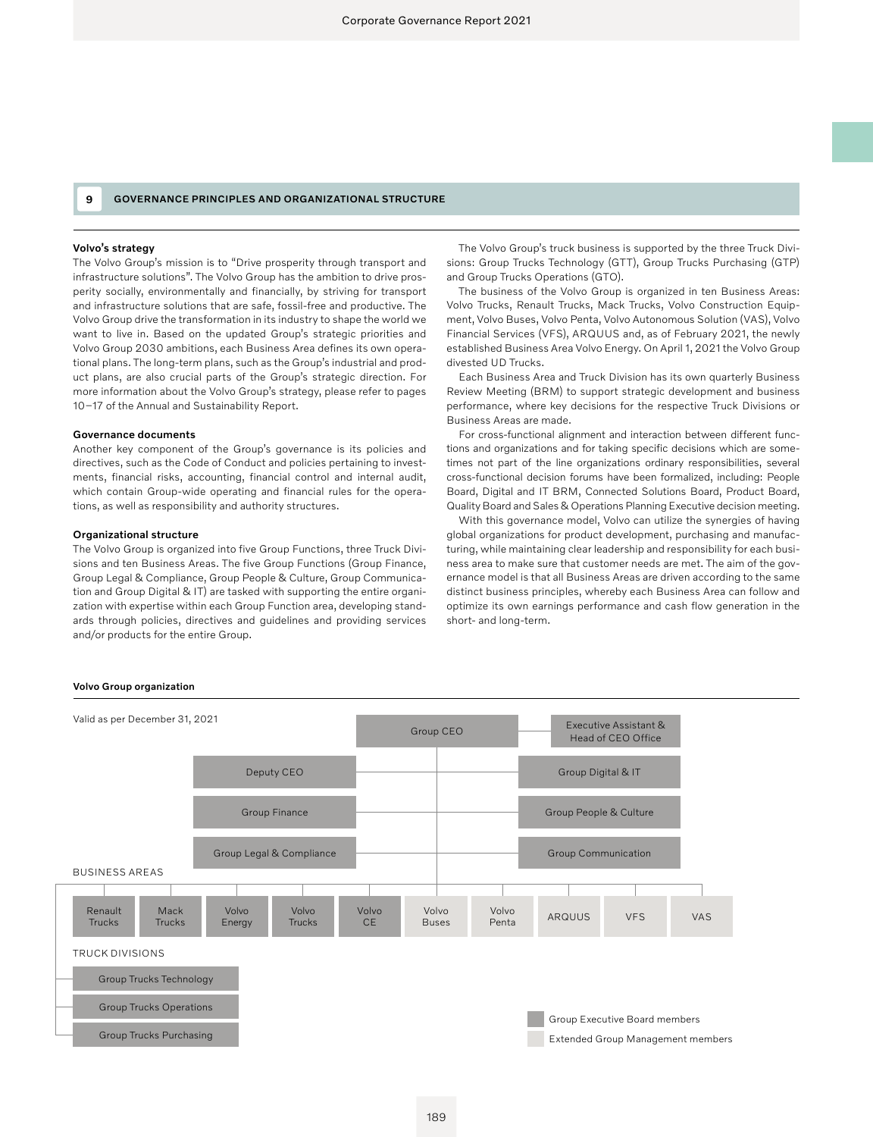### 9 GOVERNANCE PRINCIPLES AND ORGANIZATIONAL STRUCTURE

### Volvo's strategy

The Volvo Group's mission is to "Drive prosperity through transport and infrastructure solutions". The Volvo Group has the ambition to drive prosperity socially, environmentally and financially, by striving for transport and infrastructure solutions that are safe, fossil-free and productive. The Volvo Group drive the transformation in its industry to shape the world we want to live in. Based on the updated Group's strategic priorities and Volvo Group 2030 ambitions, each Business Area defines its own operational plans. The long-term plans, such as the Group's industrial and product plans, are also crucial parts of the Group's strategic direction. For more information about the Volvo Group's strategy, please refer to pages 10–17 of the Annual and Sustainability Report.

### Governance documents

Another key component of the Group's governance is its policies and directives, such as the Code of Conduct and policies pertaining to investments, financial risks, accounting, financial control and internal audit, which contain Group-wide operating and financial rules for the operations, as well as responsibility and authority structures.

### Organizational structure

The Volvo Group is organized into five Group Functions, three Truck Divisions and ten Business Areas. The five Group Functions (Group Finance, Group Legal & Compliance, Group People & Culture, Group Communication and Group Digital & IT) are tasked with supporting the entire organization with expertise within each Group Function area, developing standards through policies, directives and guidelines and providing services and/or products for the entire Group.

The Volvo Group's truck business is supported by the three Truck Divisions: Group Trucks Technology (GTT), Group Trucks Purchasing (GTP) and Group Trucks Operations (GTO).

The business of the Volvo Group is organized in ten Business Areas: Volvo Trucks, Renault Trucks, Mack Trucks, Volvo Construction Equipment, Volvo Buses, Volvo Penta, Volvo Autonomous Solution (VAS), Volvo Financial Services (VFS), ARQUUS and, as of February 2021, the newly established Business Area Volvo Energy. On April 1, 2021 the Volvo Group divested UD Trucks.

Each Business Area and Truck Division has its own quarterly Business Review Meeting (BRM) to support strategic development and business performance, where key decisions for the respective Truck Divisions or Business Areas are made.

For cross-functional alignment and interaction between different functions and organizations and for taking specific decisions which are sometimes not part of the line organizations ordinary responsibilities, several cross-functional decision forums have been formalized, including: People Board, Digital and IT BRM, Connected Solutions Board, Product Board, Quality Board and Sales & Operations Planning Executive decision meeting.

With this governance model, Volvo can utilize the synergies of having global organizations for product development, purchasing and manufacturing, while maintaining clear leadership and responsibility for each business area to make sure that customer needs are met. The aim of the governance model is that all Business Areas are driven according to the same distinct business principles, whereby each Business Area can follow and optimize its own earnings performance and cash flow generation in the short- and long-term.

### Volvo Group organization

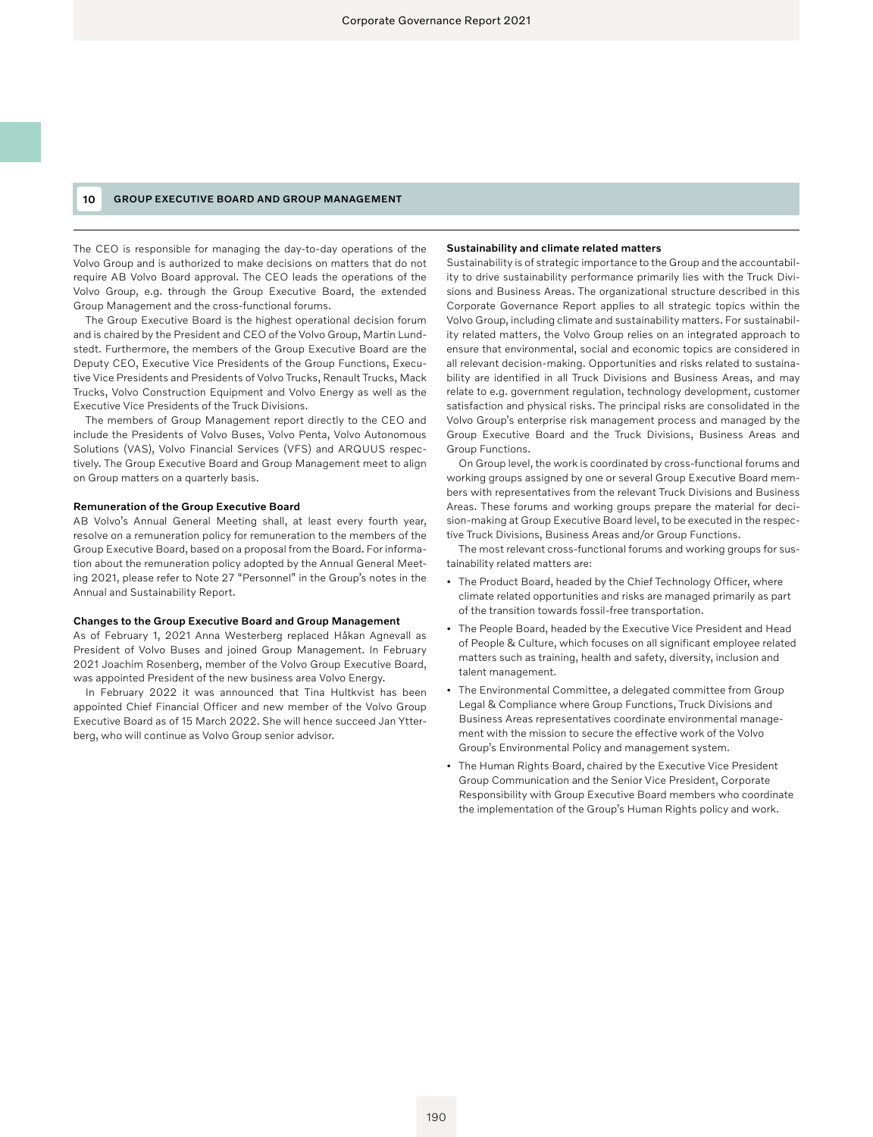### 10 GROUP EXECUTIVE BOARD AND GROUP MANAGEMENT

The CEO is responsible for managing the day-to-day operations of the Volvo Group and is authorized to make decisions on matters that do not require AB Volvo Board approval. The CEO leads the operations of the Volvo Group, e.g. through the Group Executive Board, the extended Group Management and the cross-functional forums.

The Group Executive Board is the highest operational decision forum and is chaired by the President and CEO of the Volvo Group, Martin Lundstedt. Furthermore, the members of the Group Executive Board are the Deputy CEO, Executive Vice Presidents of the Group Functions, Executive Vice Presidents and Presidents of Volvo Trucks, Renault Trucks, Mack Trucks, Volvo Construction Equipment and Volvo Energy as well as the Executive Vice Presidents of the Truck Divisions.

The members of Group Management report directly to the CEO and include the Presidents of Volvo Buses, Volvo Penta, Volvo Autonomous Solutions (VAS), Volvo Financial Services (VFS) and ARQUUS respectively. The Group Executive Board and Group Management meet to align on Group matters on a quarterly basis.

### Remuneration of the Group Executive Board

AB Volvo's Annual General Meeting shall, at least every fourth year, resolve on a remuneration policy for remuneration to the members of the Group Executive Board, based on a proposal from the Board. For information about the remuneration policy adopted by the Annual General Meeting 2021, please refer to Note 27 "Personnel" in the Group's notes in the Annual and Sustainability Report.

### Changes to the Group Executive Board and Group Management

As of February 1, 2021 Anna Westerberg replaced Håkan Agnevall as President of Volvo Buses and joined Group Management. In February 2021 Joachim Rosenberg, member of the Volvo Group Executive Board, was appointed President of the new business area Volvo Energy.

In February 2022 it was announced that Tina Hultkvist has been appointed Chief Financial Officer and new member of the Volvo Group Executive Board as of 15 March 2022. She will hence succeed Jan Ytterberg, who will continue as Volvo Group senior advisor.

### Sustainability and climate related matters

Sustainability is of strategic importance to the Group and the accountability to drive sustainability performance primarily lies with the Truck Divisions and Business Areas. The organizational structure described in this Corporate Governance Report applies to all strategic topics within the Volvo Group, including climate and sustainability matters. For sustainability related matters, the Volvo Group relies on an integrated approach to ensure that environmental, social and economic topics are considered in all relevant decision-making. Opportunities and risks related to sustainability are identified in all Truck Divisions and Business Areas, and may relate to e.g. government regulation, technology development, customer satisfaction and physical risks. The principal risks are consolidated in the Volvo Group's enterprise risk management process and managed by the Group Executive Board and the Truck Divisions, Business Areas and Group Functions.

On Group level, the work is coordinated by cross-functional forums and working groups assigned by one or several Group Executive Board members with representatives from the relevant Truck Divisions and Business Areas. These forums and working groups prepare the material for decision-making at Group Executive Board level, to be executed in the respective Truck Divisions, Business Areas and/or Group Functions.

The most relevant cross-functional forums and working groups for sustainability related matters are:

- The Product Board, headed by the Chief Technology Officer, where climate related opportunities and risks are managed primarily as part of the transition towards fossil-free transportation.
- The People Board, headed by the Executive Vice President and Head of People & Culture, which focuses on all significant employee related matters such as training, health and safety, diversity, inclusion and talent management.
- The Environmental Committee, a delegated committee from Group Legal & Compliance where Group Functions, Truck Divisions and Business Areas representatives coordinate environmental management with the mission to secure the effective work of the Volvo Group's Environmental Policy and management system.
- The Human Rights Board, chaired by the Executive Vice President Group Communication and the Senior Vice President, Corporate Responsibility with Group Executive Board members who coordinate the implementation of the Group's Human Rights policy and work.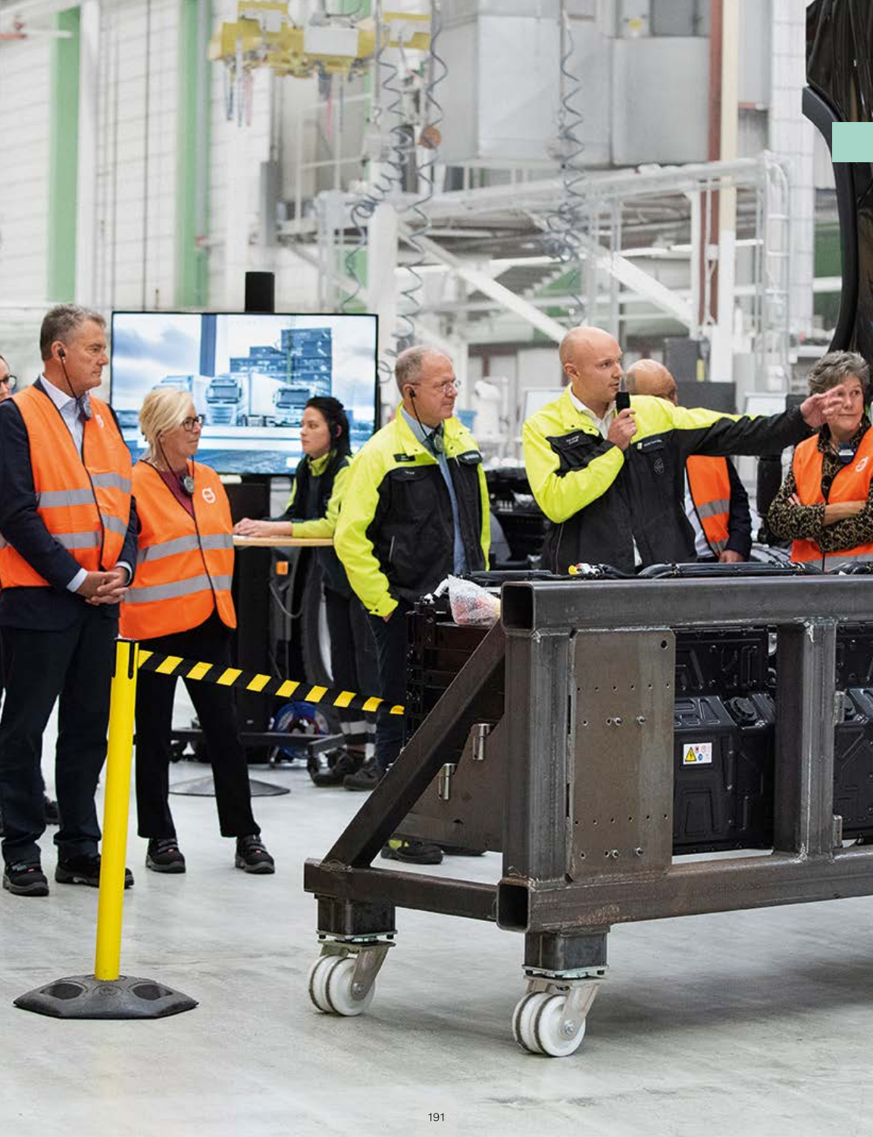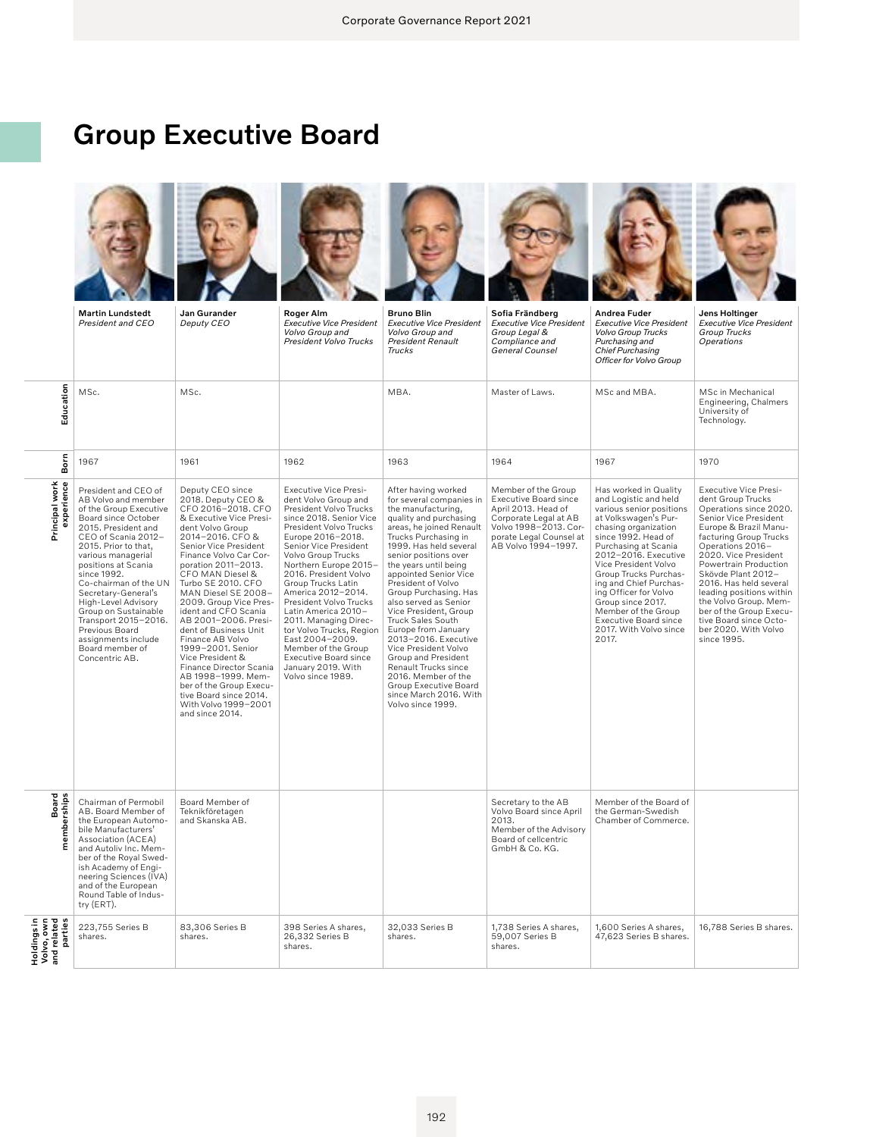# Group Executive Board











|                                                     | <b>Martin Lundstedt</b><br>President and CEO                                                                                                                                                                                                                                                                                                                                                                                     | Jan Gurander<br>Deputy CEO                                                                                                                                                                                                                                                                                                                                                                                                                                                                                                                                                                                    | Roger Alm<br><b>Executive Vice President</b><br>Volvo Group and<br>President Volvo Trucks                                                                                                                                                                                                                                                                                                                                                                                                                     | <b>Bruno Blin</b><br><b>Executive Vice President</b><br>Volvo Group and<br><b>President Renault</b><br>Trucks                                                                                                                                                                                                                                                                                                                                                                                                       | Sofia Frändberg<br><b>Executive Vice President</b><br>Group Legal &<br>Compliance and<br>General Counsel                                                                                                                                             | Andrea Fuder<br><b>Executive Vice President</b><br><b>Volvo Group Trucks</b><br>Purchasing and<br>Chief Purchasing<br>Officer for Volvo Group                                                                                                                                                                                                                                                | Jens Holtinger<br><b>Executive Vice President</b><br><b>Group Trucks</b><br><i><b>Operations</b></i>                                                                                                                                                                                                                                                                                                                          |
|-----------------------------------------------------|----------------------------------------------------------------------------------------------------------------------------------------------------------------------------------------------------------------------------------------------------------------------------------------------------------------------------------------------------------------------------------------------------------------------------------|---------------------------------------------------------------------------------------------------------------------------------------------------------------------------------------------------------------------------------------------------------------------------------------------------------------------------------------------------------------------------------------------------------------------------------------------------------------------------------------------------------------------------------------------------------------------------------------------------------------|---------------------------------------------------------------------------------------------------------------------------------------------------------------------------------------------------------------------------------------------------------------------------------------------------------------------------------------------------------------------------------------------------------------------------------------------------------------------------------------------------------------|---------------------------------------------------------------------------------------------------------------------------------------------------------------------------------------------------------------------------------------------------------------------------------------------------------------------------------------------------------------------------------------------------------------------------------------------------------------------------------------------------------------------|------------------------------------------------------------------------------------------------------------------------------------------------------------------------------------------------------------------------------------------------------|----------------------------------------------------------------------------------------------------------------------------------------------------------------------------------------------------------------------------------------------------------------------------------------------------------------------------------------------------------------------------------------------|-------------------------------------------------------------------------------------------------------------------------------------------------------------------------------------------------------------------------------------------------------------------------------------------------------------------------------------------------------------------------------------------------------------------------------|
| ē                                                   | MSc.                                                                                                                                                                                                                                                                                                                                                                                                                             | MSc.                                                                                                                                                                                                                                                                                                                                                                                                                                                                                                                                                                                                          |                                                                                                                                                                                                                                                                                                                                                                                                                                                                                                               | MBA.                                                                                                                                                                                                                                                                                                                                                                                                                                                                                                                | Master of Laws.                                                                                                                                                                                                                                      | MSc and MBA.                                                                                                                                                                                                                                                                                                                                                                                 | MSc in Mechanical<br>Engineering, Chalmers<br>University of<br>Technology.                                                                                                                                                                                                                                                                                                                                                    |
| ≃                                                   | 1967                                                                                                                                                                                                                                                                                                                                                                                                                             | 1961                                                                                                                                                                                                                                                                                                                                                                                                                                                                                                                                                                                                          | 1962                                                                                                                                                                                                                                                                                                                                                                                                                                                                                                          | 1963                                                                                                                                                                                                                                                                                                                                                                                                                                                                                                                | 1964                                                                                                                                                                                                                                                 | 1967                                                                                                                                                                                                                                                                                                                                                                                         | 1970                                                                                                                                                                                                                                                                                                                                                                                                                          |
|                                                     | President and CEO of<br>AB Volvo and member<br>of the Group Executive<br>Board since October<br>2015. President and<br>CEO of Scania 2012-<br>2015. Prior to that.<br>various managerial<br>positions at Scania<br>since 1992.<br>Co-chairman of the UN   Turbo SE 2010. CFO<br>Secretary-General's<br>High-Level Advisory<br>Group on Sustainable<br>Previous Board<br>assignments include<br>Board member of<br>Concentric AB. | Deputy CEO since<br>2018. Deputy CEO &<br>& Executive Vice Presi-<br>dent Volvo Group<br>2014-2016. CFO &<br>Senior Vice President<br>Finance Volvo Car Cor-<br>poration 2011-2013.<br>CFO MAN Diesel &<br>MAN Diesel SE 2008-<br>ident and CFO Scania<br>Transport 2015-2016.   AB 2001-2006. Presi-   2011. Managing Direc-<br>dent of Business Unit<br>Finance AB Volvo<br>1999-2001. Senior<br>Vice President &<br>Finance Director Scania   January 2019. With<br>AB 1998-1999. Mem-   Volvo since 1989.<br>ber of the Group Execu-<br>tive Board since 2014.<br>With Volvo 1999-2001<br>and since 2014. | Executive Vice Presi-<br>dent Volvo Group and<br>CFO 2016-2018. CFO President Volvo Trucks<br>President Volvo Trucks<br>Europe 2016-2018.<br>Senior Vice President<br>Volvo Group Trucks<br>Northern Europe 2015-   the years until being<br>2016. President Volvo<br>Group Trucks Latin<br>America 2012-2014.<br>2009. Group Vice Pres-   President Volvo Trucks<br>Latin America 2010-<br>tor Volvo Trucks, Region   Europe from January<br>East 2004-2009.<br>Member of the Group<br>Executive Board since | After having worked<br>the manufacturing,<br>since 2018. Senior Vice   quality and purchasing   Corporate Legal at AB<br>Trucks Purchasing in<br>senior positions over<br>appointed Senior Vice<br>President of Volvo<br>Group Purchasing. Has<br>also served as Senior<br>Vice President, Group<br>Truck Sales South<br>2013-2016. Executive<br>Vice President Volvo<br>Group and President<br>Renault Trucks since<br>2016. Member of the<br>Group Executive Board<br>since March 2016. With<br>Volvo since 1999. | Member of the Group<br>for several companies in   Executive Board since<br>April 2013. Head of<br>areas, he joined Renault   Volvo 1998-2013. Cor-   chasing organization<br>porate Legal Counsel at<br>1999. Has held several   AB Volvo 1994-1997. | Has worked in Quality<br>and Logistic and held<br>various senior positions<br>at Volkswagen's Pur-<br>since 1992. Head of<br>Purchasing at Scania<br>2012-2016. Executive<br>Vice President Volvo<br>Group Trucks Purchas-<br>ing and Chief Purchas-<br>ing Officer for Volvo<br>Group since 2017.<br>Member of the Group<br><b>Executive Board since</b><br>2017. With Volvo since<br>2017. | <b>Executive Vice Presi-</b><br>dent Group Trucks<br>Operations since 2020.<br>Senior Vice President<br>Europe & Brazil Manu-<br>facturing Group Trucks<br>Operations 2016-<br>2020. Vice President<br>Powertrain Production<br>Skövde Plant 2012-<br>2016. Has held several<br>leading positions within<br>the Volvo Group. Mem-<br>ber of the Group Execu-<br>tive Board since Octo-<br>ber 2020. With Volvo<br>since 1995. |
| ard<br>Ships<br>m                                   | Chairman of Permobil<br>AB. Board Member of<br>the European Automo-<br>bile Manufacturers'<br>Association (ACEA)<br>and Autoliv Inc. Mem-<br>ber of the Royal Swed-<br>ish Academy of Engi-<br>neering Sciences (IVA)<br>and of the European<br>Round Table of Indus-<br>try (ERT).                                                                                                                                              | Board Member of<br>Teknikföretagen<br>and Skanska AB.                                                                                                                                                                                                                                                                                                                                                                                                                                                                                                                                                         |                                                                                                                                                                                                                                                                                                                                                                                                                                                                                                               |                                                                                                                                                                                                                                                                                                                                                                                                                                                                                                                     | Secretary to the AB<br>Volvo Board since April<br>2013.<br>Member of the Advisory<br>Board of cellcentric<br>GmbH & Co. KG.                                                                                                                          | Member of the Board of<br>the German-Swedish<br>Chamber of Commerce.                                                                                                                                                                                                                                                                                                                         |                                                                                                                                                                                                                                                                                                                                                                                                                               |
| Holdings in<br>Volvo, own<br>and related<br>parties | 223,755 Series B<br>shares.                                                                                                                                                                                                                                                                                                                                                                                                      | 83,306 Series B<br>shares.                                                                                                                                                                                                                                                                                                                                                                                                                                                                                                                                                                                    | 398 Series A shares,<br>26,332 Series B<br>shares.                                                                                                                                                                                                                                                                                                                                                                                                                                                            | 32,033 Series B<br>shares.                                                                                                                                                                                                                                                                                                                                                                                                                                                                                          | 1,738 Series A shares,<br>59,007 Series B<br>shares.                                                                                                                                                                                                 | 1,600 Series A shares,<br>47,623 Series B shares.                                                                                                                                                                                                                                                                                                                                            | 16,788 Series B shares.                                                                                                                                                                                                                                                                                                                                                                                                       |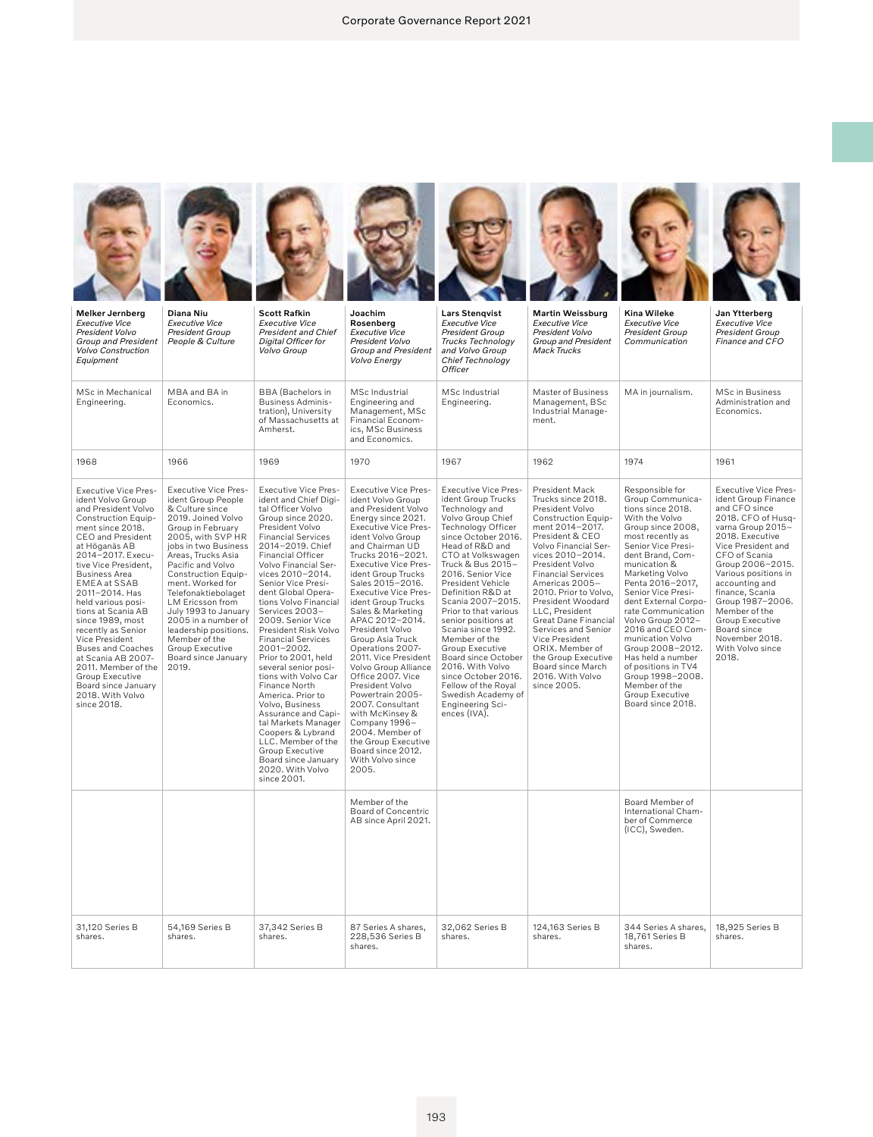| <b>Melker Jernberg</b><br><b>Executive Vice</b><br>President Volvo<br><b>Group and President</b><br><b>Volvo Construction</b><br>Equipment                                                                                                                                                                                                                                                                                                                                                                                                                                            | Diana Niu<br><b>Executive Vice</b><br><b>President Group</b><br>People & Culture                                                                                                                                                                                                                                                                       | <b>Scott Rafkin</b><br><b>Executive Vice</b><br><b>President and Chief</b><br>Digital Officer for<br>Volvo Group                                                                                                                                                                                                                                                                                                                                                                                                                                                                                                                                                                                                                                             | Joachim<br>Rosenberg<br><b>Executive Vice</b><br>President Volvo<br>Group and President<br><b>Volvo Energy</b>                                                                                                                                                                                                                                                                                                                                                                                                                                                                                                                                                                       | <b>Lars Stengvist</b><br><b>Executive Vice</b><br>President Group<br><b>Trucks Technology</b><br>and Volvo Group<br>Chief Technology<br><b>Officer</b>                                                                                                                                                                                                                                                                                                                                                                  | <b>Martin Weissburg</b><br><b>Executive Vice</b><br>President Volvo<br>Group and President<br>Mack Trucks                                                                                                                                                                                                                                                                                                                                     | Kina Wileke<br><b>Executive Vice</b><br><b>President Group</b><br>Communication                                                                                                                                                                                                                                                                                                                                                                                                                                             | Jan Ytterberg<br><b>Executive Vice</b><br><b>President Group</b><br>Finance and CFO                                                                                                                                                                                                                                                                                           |
|---------------------------------------------------------------------------------------------------------------------------------------------------------------------------------------------------------------------------------------------------------------------------------------------------------------------------------------------------------------------------------------------------------------------------------------------------------------------------------------------------------------------------------------------------------------------------------------|--------------------------------------------------------------------------------------------------------------------------------------------------------------------------------------------------------------------------------------------------------------------------------------------------------------------------------------------------------|--------------------------------------------------------------------------------------------------------------------------------------------------------------------------------------------------------------------------------------------------------------------------------------------------------------------------------------------------------------------------------------------------------------------------------------------------------------------------------------------------------------------------------------------------------------------------------------------------------------------------------------------------------------------------------------------------------------------------------------------------------------|--------------------------------------------------------------------------------------------------------------------------------------------------------------------------------------------------------------------------------------------------------------------------------------------------------------------------------------------------------------------------------------------------------------------------------------------------------------------------------------------------------------------------------------------------------------------------------------------------------------------------------------------------------------------------------------|-------------------------------------------------------------------------------------------------------------------------------------------------------------------------------------------------------------------------------------------------------------------------------------------------------------------------------------------------------------------------------------------------------------------------------------------------------------------------------------------------------------------------|-----------------------------------------------------------------------------------------------------------------------------------------------------------------------------------------------------------------------------------------------------------------------------------------------------------------------------------------------------------------------------------------------------------------------------------------------|-----------------------------------------------------------------------------------------------------------------------------------------------------------------------------------------------------------------------------------------------------------------------------------------------------------------------------------------------------------------------------------------------------------------------------------------------------------------------------------------------------------------------------|-------------------------------------------------------------------------------------------------------------------------------------------------------------------------------------------------------------------------------------------------------------------------------------------------------------------------------------------------------------------------------|
| MSc in Mechanical<br>Engineering.                                                                                                                                                                                                                                                                                                                                                                                                                                                                                                                                                     | MBA and BA in<br>Economics.                                                                                                                                                                                                                                                                                                                            | <b>BBA</b> (Bachelors in<br><b>Business Adminis-</b><br>tration), University<br>of Massachusetts at<br>Amherst.                                                                                                                                                                                                                                                                                                                                                                                                                                                                                                                                                                                                                                              | MSc Industrial<br>Engineering and<br>Management, MSc<br>Financial Econom-<br>ics, MSc Business<br>and Economics.                                                                                                                                                                                                                                                                                                                                                                                                                                                                                                                                                                     | MSc Industrial<br>Engineering.                                                                                                                                                                                                                                                                                                                                                                                                                                                                                          | Master of Business<br>Management, BSc<br>Industrial Manage-<br>ment.                                                                                                                                                                                                                                                                                                                                                                          | MA in journalism.                                                                                                                                                                                                                                                                                                                                                                                                                                                                                                           | MSc in Business<br>Administration and<br>Economics.                                                                                                                                                                                                                                                                                                                           |
| 1968                                                                                                                                                                                                                                                                                                                                                                                                                                                                                                                                                                                  | 1966                                                                                                                                                                                                                                                                                                                                                   | 1969                                                                                                                                                                                                                                                                                                                                                                                                                                                                                                                                                                                                                                                                                                                                                         | 1970                                                                                                                                                                                                                                                                                                                                                                                                                                                                                                                                                                                                                                                                                 | 1967                                                                                                                                                                                                                                                                                                                                                                                                                                                                                                                    | 1962                                                                                                                                                                                                                                                                                                                                                                                                                                          | 1974                                                                                                                                                                                                                                                                                                                                                                                                                                                                                                                        | 1961                                                                                                                                                                                                                                                                                                                                                                          |
| <b>Executive Vice Pres-</b><br>ident Volvo Group<br>and President Volvo   & Culture since<br>Construction Equip- 2019. Joined Volvo<br>ment since 2018.<br>CEO and President<br>at Höganäs AB<br>2014-2017. Execu-<br>tive Vice President,<br><b>Business Area</b><br>EMEA at SSAB<br>2011-2014. Has<br>held various posi-<br>tions at Scania AB<br>since 1989, most<br>recently as Senior<br>Vice President<br>Buses and Coaches   Group Executive<br>at Scania AB 2007-<br>2011. Member of the   2019.<br>Group Executive<br>Board since January<br>2018. With Volvo<br>since 2018. | <b>Executive Vice Pres-</b><br>ident Group People<br>Group in February<br>jobs in two Business<br>Areas, Trucks Asia<br>Pacific and Volvo<br><b>Construction Equip-</b><br>ment. Worked for<br>Telefonaktiebolaget<br>LM Ericsson from<br>July 1993 to January<br>2005 in a number of<br>leadership positions.<br>Member of the<br>Board since January | <b>Executive Vice Pres-</b><br>ident and Chief Digi-<br>tal Officer Volvo<br>Group since 2020.<br>President Volvo<br>2005, with SVP HR Financial Services<br>2014-2019. Chief<br><b>Financial Officer</b><br>Volvo Financial Ser-<br>vices 2010-2014.<br>Senior Vice Presi-<br>dent Global Opera-<br>tions Volvo Financial<br>Services 2003-<br>2009. Senior Vice<br>President Risk Volvo<br><b>Financial Services</b><br>2001-2002.<br>Prior to 2001, held<br>several senior posi-<br>tions with Volvo Car<br>Finance North<br>America. Prior to<br>Volvo, Business<br>Assurance and Capi-<br>tal Markets Manager<br>Coopers & Lybrand   2004. Member of<br>LLC. Member of the<br>Group Executive<br>Board since January<br>2020. With Volvo<br>since 2001. | <b>Executive Vice Pres-</b><br>ident Volvo Group<br>and President Volvo<br>Energy since 2021.<br><b>Executive Vice Pres-</b><br>ident Volvo Group<br>and Chairman UD<br>Trucks 2016-2021.<br><b>Executive Vice Pres-</b><br>ident Group Trucks<br>Sales 2015-2016.<br>Executive Vice Pres-   Definition R&D at<br>ident Group Trucks<br>Sales & Marketing<br>APAC 2012-2014.<br>President Volvo<br>Group Asia Truck<br>Operations 2007-<br>2011. Vice President<br>Volvo Group Alliance<br>Office 2007. Vice<br>President Volvo<br>Powertrain 2005-<br>2007. Consultant<br>with McKinsey &<br>Company 1996-<br>the Group Executive<br>Board since 2012.<br>With Volvo since<br>2005. | <b>Executive Vice Pres-</b><br>ident Group Trucks<br>Technology and<br>Volvo Group Chief<br>Technology Officer<br>since October 2016. President & CEO<br>Head of R&D and<br>CTO at Volkswagen<br>Truck & Bus 2015-<br>2016. Senior Vice<br>President Vehicle<br>Scania 2007-2015.<br>Prior to that various<br>senior positions at<br>Scania since 1992.<br>Member of the<br>Group Executive<br>2016. With Volvo<br>since October 2016.<br>Fellow of the Royal<br>Swedish Academy of<br>Engineering Sci-<br>ences (IVA). | President Mack<br>Trucks since 2018.<br>President Volvo<br>Construction Equip-<br>ment 2014-2017.<br>Volvo Financial Ser-<br>vices 2010-2014.<br>President Volvo<br><b>Financial Services</b><br>Americas 2005-<br>2010. Prior to Volvo,<br>President Woodard<br>LLC, President<br>Vice President<br>ORIX. Member of<br>Board since October   the Group Executive   Has held a number<br>Board since March<br>2016. With Volvo<br>since 2005. | Responsible for<br>Group Communica-<br>tions since 2018.<br>With the Volvo<br>Group since 2008,<br>most recently as<br>Senior Vice Presi-<br>dent Brand, Com-<br>munication &<br>Marketing Volvo<br>Penta 2016-2017,<br>Senior Vice Presi-<br>dent External Corpo-<br>rate Communication<br>Great Dane Financial   Volvo Group 2012-<br>Services and Senior   2016 and CEO Com-<br>munication Volvo<br>Group 2008-2012.<br>of positions in TV4<br>Group 1998-2008.<br>Member of the<br>Group Executive<br>Board since 2018. | <b>Executive Vice Pres-</b><br>ident Group Finance<br>and CFO since<br>2018. CFO of Husq-<br>varna Group 2015-<br>2018. Executive<br>Vice President and<br>CFO of Scania<br>Group 2006-2015<br>Various positions in<br>accounting and<br>finance, Scania<br>Group 1987-2006<br>Member of the<br>Group Executive<br>Board since<br>November 2018.<br>With Volvo since<br>2018. |
|                                                                                                                                                                                                                                                                                                                                                                                                                                                                                                                                                                                       |                                                                                                                                                                                                                                                                                                                                                        |                                                                                                                                                                                                                                                                                                                                                                                                                                                                                                                                                                                                                                                                                                                                                              | Member of the<br>Board of Concentric<br>AB since April 2021                                                                                                                                                                                                                                                                                                                                                                                                                                                                                                                                                                                                                          |                                                                                                                                                                                                                                                                                                                                                                                                                                                                                                                         |                                                                                                                                                                                                                                                                                                                                                                                                                                               | Board Member of<br>International Cham-<br>ber of Commerce<br>(ICC), Sweden.                                                                                                                                                                                                                                                                                                                                                                                                                                                 |                                                                                                                                                                                                                                                                                                                                                                               |
| 31,120 Series B<br>shares.                                                                                                                                                                                                                                                                                                                                                                                                                                                                                                                                                            | 54,169 Series B<br>shares.                                                                                                                                                                                                                                                                                                                             | 37,342 Series B<br>shares.                                                                                                                                                                                                                                                                                                                                                                                                                                                                                                                                                                                                                                                                                                                                   | 87 Series A shares,<br>228,536 Series B<br>shares.                                                                                                                                                                                                                                                                                                                                                                                                                                                                                                                                                                                                                                   | 32,062 Series B<br>shares.                                                                                                                                                                                                                                                                                                                                                                                                                                                                                              | 124,163 Series B<br>shares.                                                                                                                                                                                                                                                                                                                                                                                                                   | 344 Series A shares,   18,925 Series B<br>18,761 Series B<br>shares.                                                                                                                                                                                                                                                                                                                                                                                                                                                        | shares.                                                                                                                                                                                                                                                                                                                                                                       |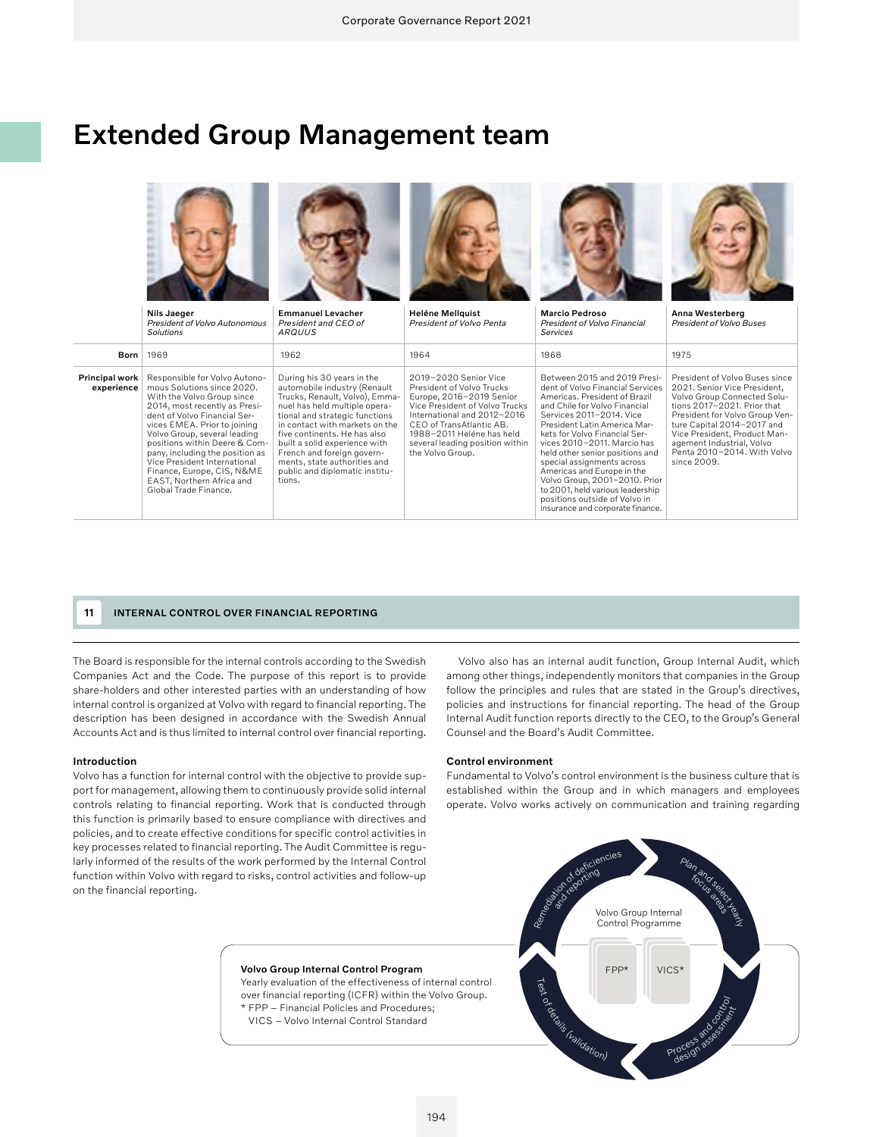## Extended Group Management team









|                              | Nils Jaeger<br><b>President of Volvo Autonomous</b><br><b>Solutions</b>                                                                                                                                                                                                                                                                                                                                            | <b>Emmanuel Levacher</b><br>President and CEO of<br>ARQUUS                                                                                                                                                                                                                                                                                                                   | <b>Heléne Mellquist</b><br>President of Volvo Penta                                                                                                                                                                                                             | <b>Marcio Pedroso</b><br>President of Volvo Financial<br><b>Services</b>                                                                                                                                                                                                                                                                                                                                                                                                                                | Anna Westerberg<br><b>President of Volvo Buses</b>                                                                                                                                                                                                                                                      |
|------------------------------|--------------------------------------------------------------------------------------------------------------------------------------------------------------------------------------------------------------------------------------------------------------------------------------------------------------------------------------------------------------------------------------------------------------------|------------------------------------------------------------------------------------------------------------------------------------------------------------------------------------------------------------------------------------------------------------------------------------------------------------------------------------------------------------------------------|-----------------------------------------------------------------------------------------------------------------------------------------------------------------------------------------------------------------------------------------------------------------|---------------------------------------------------------------------------------------------------------------------------------------------------------------------------------------------------------------------------------------------------------------------------------------------------------------------------------------------------------------------------------------------------------------------------------------------------------------------------------------------------------|---------------------------------------------------------------------------------------------------------------------------------------------------------------------------------------------------------------------------------------------------------------------------------------------------------|
|                              | <b>Born</b> 1969                                                                                                                                                                                                                                                                                                                                                                                                   | 1962                                                                                                                                                                                                                                                                                                                                                                         | 1964                                                                                                                                                                                                                                                            | 1968                                                                                                                                                                                                                                                                                                                                                                                                                                                                                                    | 1975                                                                                                                                                                                                                                                                                                    |
| Principal work<br>experience | Responsible for Volvo Autono-<br>mous Solutions since 2020.<br>With the Volvo Group since<br>2014, most recently as Presi-<br>dent of Volvo Financial Ser-<br>vices EMEA. Prior to joining<br>Volvo Group, several leading<br>positions within Deere & Com-<br>pany, including the position as<br>Vice President International<br>Finance, Europe, CIS, N&ME<br>EAST, Northern Africa and<br>Global Trade Finance. | During his 30 years in the<br>automobile industry (Renault<br>Trucks, Renault, Volvo), Emma-<br>nuel has held multiple opera-<br>tional and strategic functions<br>in contact with markets on the<br>five continents. He has also<br>built a solid experience with<br>French and foreign govern-<br>ments, state authorities and<br>public and diplomatic institu-<br>tions. | 2019-2020 Senior Vice<br>President of Volvo Trucks<br>Europe, 2016-2019 Senior<br>Vice President of Volvo Trucks<br>International and 2012-2016<br>CEO of TransAtlantic AB.<br>1988-2011 Heléne has held<br>several leading position within<br>the Volvo Group. | Between 2015 and 2019 Presi-<br>dent of Volvo Financial Services<br>Americas, President of Brazil<br>and Chile for Volvo Financial<br>Services 2011-2014, Vice<br>President Latin America Mar-<br>kets for Volvo Financial Ser-<br>vices 2010-2011. Marcio has<br>held other senior positions and<br>special assignments across<br>Americas and Europe in the<br>Volvo Group, 2001-2010. Prior<br>to 2001, held various leadership<br>positions outside of Volvo in<br>insurance and corporate finance. | President of Volvo Buses since<br>2021. Senior Vice President,<br>Volvo Group Connected Solu-<br>tions 2017-2021. Prior that<br>President for Volvo Group Ven-<br>ture Capital 2014-2017 and<br>Vice President, Product Man-<br>agement Industrial, Volvo<br>Penta 2010-2014. With Volvo<br>since 2009. |

### 11 INTERNAL CONTROL OVER FINANCIAL REPORTING

The Board is responsible for the internal controls according to the Swedish Companies Act and the Code. The purpose of this report is to provide share-holders and other interested parties with an understanding of how internal control is organized at Volvo with regard to financial reporting. The description has been designed in accordance with the Swedish Annual Accounts Act and is thus limited to internal control over financial reporting.

### Introduction

Volvo has a function for internal control with the objective to provide support for management, allowing them to continuously provide solid internal controls relating to financial reporting. Work that is conducted through this function is primarily based to ensure compliance with directives and policies, and to create effective conditions for specific control activities in key processes related to financial reporting. The Audit Committee is regularly informed of the results of the work performed by the Internal Control function within Volvo with regard to risks, control activities and follow-up on the financial reporting.

Volvo also has an internal audit function, Group Internal Audit, which among other things, independently monitors that companies in the Group follow the principles and rules that are stated in the Group's directives, policies and instructions for financial reporting. The head of the Group Internal Audit function reports directly to the CEO, to the Group's General Counsel and the Board's Audit Committee.

### Control environment

Fundamental to Volvo's control environment is the business culture that is established within the Group and in which managers and employees operate. Volvo works actively on communication and training regarding



### Volvo Group Internal Control Program

Yearly evaluation of the effectiveness of internal control over financial reporting (ICFR) within the Volvo Group. \* FPP – Financial Policies and Procedures; VICS – Volvo Internal Control Standard